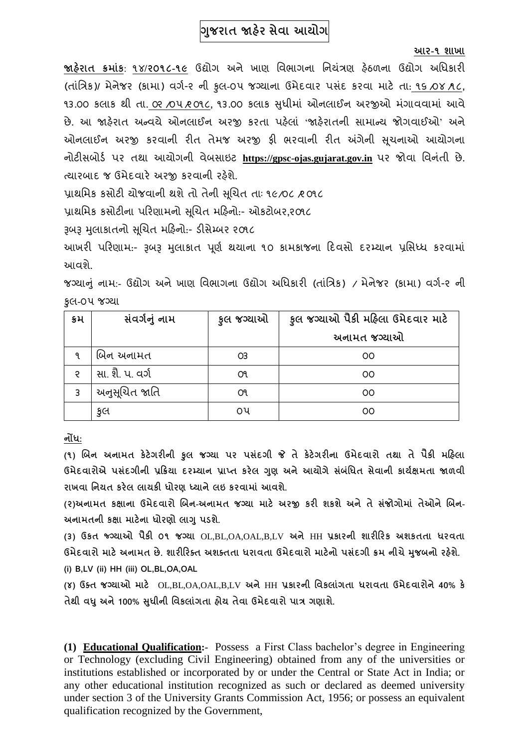# **ગજુ રાત જાહેર સેવા આયોગ**

#### **આર-૧ શાખા**

**જાહરે ાત ક્રમાાંક**: ૧૪**/૨૦૧૮-૧૯** ઉદ્યોગ અને ખાણ વિભાગના વનયત્રં ણ હઠે ળના ઉદ્યોગ અવિકારી (તાંવત્રક)**/** મેનેજર (કામા) િગગ-૨ ની કુલ-૦૫ જગ્યાના ઉમેદિાર પસંદ કરિા માટે તા: ૧૬ /૦૪ /૧ ૮**,** ૧૩.૦૦ કલાક થી તા. ૦૨ /૦૫ *૨* ૦૧૮, ૧૩.૦૦ કલાક સુધીમાં ઓનલાઈન અરજીઓ મંગાવવામાં આવે છે. આ જાહેરાત અન્વયે ઓનલાઈન અરજી કરતા પહેલાં 'જાહેરાતની સામાન્ય જોગવાઈઓ' અને ઓનલાઈન અરજી કરવાની રીત તેમજ અરજી ફી ભરવાની રીત અંગેની સૂચનાઓ આયોગના નોટીસબોર્ગ પર તથા આયોગની િેબસાઇટ **[https://gpsc-ojas.gujarat.gov.in](https://gpsc-ojas.gujarat.gov.in/)** પર જોિા વિનંતી છે. ત્યારબાદ જ ઉમેદવારે અરજી કરવાની રહેશે.

પ્રાથમિક કસોટી યોજવાની થશે તો તેની સચિત તાઃ ૧૯/૦૮ /૨ ૦૧૮

પ્રાથવમક કસોટીના પરરણામનો સચૂચત મરહનો:- ઓકટોબર**,**૨૦૧૮

રૂબરૂ મલુ ાકાતનો સચૂચત મરહનો:- ર્ીસેમ્બર ૨૦૧૮

આખરી પરિણામ:- રૂબરૂ મલાકાત પૂર્ણ થયાના ૧૦ કામકાજના દિવસો દરમ્યાન પ્રસિધ્ધ કરવામાં આિશે.

જગ્યાનંુનામ:- ઉદ્યોગ અનેખાણ વિભાગના ઉદ્યોગ અવિકારી (તાંવત્રક) / મેનેજર (કામા) િગગ-૨ ની કુલ-૦૫ જગ્યા

| કમ            | સંવર્ગનું નામ   | કુલ જગ્યાઓ | કુલ જગ્યાઓ પૈકી મહિલા ઉમેદવાર માટે |
|---------------|-----------------|------------|------------------------------------|
|               |                 |            | અનામત જગ્યાઓ                       |
| ٩             | બિન અનામત       | O3         | OO                                 |
| $\mathcal{L}$ | સા. શૈ. પ. વર્ગ | O٩         | OO                                 |
| 3             | અનુસૂચિત જાતિ   | O٩         | OO                                 |
|               | કુલ             | ૦૫         | OO                                 |

**નોંધ:**

**(૧) બિન અનામત કેટેગરીની કુલ જગ્યા પર પસદાં ગી જે તે કેટેગરીના ઉમેદવારો તથા તે પૈકી મહહલા ઉમેદવારોએ પસદાં ગીની પ્રહક્રયા દરમ્યાન પ્રાપ્ત કરેલ ગણુ અનેઆયોગેસિાં ધાંધત સેવાની કાયગક્ષમતા જાળવી રાખવા ધનયત કરેલ લાયકી ધોરણ ધ્યાનેલઇ કરવામાાં આવશે.**

**(૨)અનામત કક્ષાના ઉમેદવારો બિન-અનામત જગ્યા માટે અરજી કરી શકશેઅનેતેસજાં ોગોમાાં તેઓનેબિન-અનામતની કક્ષા માટેના ધોરણો લાગુપડશે.**

**(૩) ઉકત જ્ગગ્યાઓ પૈકી ૦૧ જગ્યા** OL,BL,OA,OAL,B,LV **અને** HH **પ્રકારની શારીહરક અશકતતા ધરવતા ઉમેદવારો માટેઅનામત છે. શારીહરક્ત અશક્તતા ધરાવતા ઉમેદવારો માટેનો પસદાં ગી ક્રમ નીચેમજુ િનો રહશે ે.**

**(i) B,LV (ii) HH (iii) OL,BL,OA,OAL** 

**(૪) ઉક્ત જગ્યાઓ માટે** OL,BL,OA,OAL,B,LV **અને**HH **પ્રકારની ધવકલાગાં તા ધરાવતા ઉમેદવારોને40% કે તેથી વધુઅને100% સધુ ીની ધવકલાાંગતા હોય તેવા ઉમેદવારો પાત્ર ગણાશે.**

**(1) Educational Qualification:-** Possess a First Class bachelor's degree in Engineering or Technology (excluding Civil Engineering) obtained from any of the universities or institutions established or incorporated by or under the Central or State Act in India; or any other educational institution recognized as such or declared as deemed university under section 3 of the University Grants Commission Act, 1956; or possess an equivalent qualification recognized by the Government,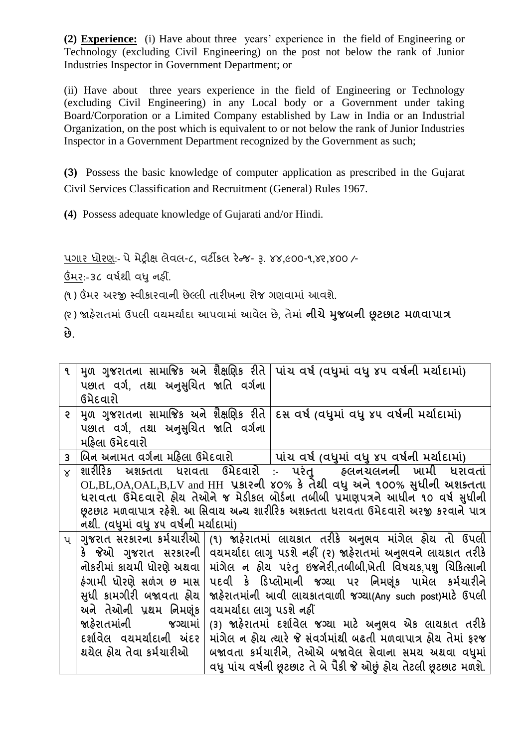**(2) Experience:** (i) Have about three years' experience in the field of Engineering or Technology (excluding Civil Engineering) on the post not below the rank of Junior Industries Inspector in Government Department; or

(ii) Have about three years experience in the field of Engineering or Technology (excluding Civil Engineering) in any Local body or a Government under taking Board/Corporation or a Limited Company established by Law in India or an Industrial Organization, on the post which is equivalent to or not below the rank of Junior Industries Inspector in a Government Department recognized by the Government as such;

**(3)** Possess the basic knowledge of computer application as prescribed in the Gujarat Civil Services Classification and Recruitment (General) Rules 1967.

**(4)** Possess adequate knowledge of Gujarati and/or Hindi.

પગાર િોરણ:- પેમેટ્રીક્ષ લેિલ-૮**,** િટીકલ રેન્જ- રૂ. ૪૪**,**૯૦૦-૧**,**૪૨**,**૪૦૦ /-

ઉંમર:- ૩૮ િર્ગથી િધુનહીં.

(૧) ઉંમર અરજી સ્વીકારવાની છેલ્લી તારીખના રોજ ગણવામાં આવશે.

(૨ ) જાહરે ાતમાં ઉપલી િયમયાગદા આપિામાં આિેલ છે, તેમાં **નીચેમજુ િની છૂટછાટ મળવાપાત્ર**

**છે.**

| ঀ              | પછાત વર્ગ, તથા અનુસુચિત જાતિ વર્ગના                                                  |  | મુળ ગુજરાતના સામાજિક અને શૈક્ષણિક રીતે પાંચ વર્ષ (વધુમાં વધુ ૪૫ વર્ષની મર્યાદામાં)     |
|----------------|--------------------------------------------------------------------------------------|--|----------------------------------------------------------------------------------------|
|                | ઉમેદવારો                                                                             |  |                                                                                        |
| $\mathsf{R}$   |                                                                                      |  | મુળ ગુજરાતના સામાજિક અને શૈક્ષણિક રીતે રિસ વર્ષ (વધુમાં વધુ ૪૫ વર્ષની મર્યાદામાં)      |
|                | પછાત વર્ગ. તથા અનુસુચિત જાતિ વર્ગના                                                  |  |                                                                                        |
|                | મહિલા ઉમેદવારો                                                                       |  |                                                                                        |
| $\overline{3}$ |                                                                                      |  | બિન અનામત વર્ગના મહિલા ઉમેદવારો   પાંચ વર્ષ (વધુમાં વધુ ૪૫ વર્ષની મર્યાદામાં)          |
| $\times$       |                                                                                      |  | શારીરિક અશક્તતા ધરાવતા ઉમેદવારો :- પરંતુ   હ્લનચલનની ખામી ધરાવતાં                      |
|                |                                                                                      |  | OL,BL,OA,OAL,B,LV and HH પ્રકારની ४०% કે તેથી વધુ અને ૧૦૦% સુધીની અશક્તતા              |
|                |                                                                                      |  | ધરાવતા ઉમેદવારો હોય તેઓને જ મેડીકલ બોર્ડના તબીબી પ્રમાણપત્રને આધીન ૧૦ વર્ષ સુધીની      |
|                |                                                                                      |  | છૂટછાટ મળવાપાત્ર રહેશે. આ સિવાય અન્ય શારીરિક અશક્તતા ધરાવતા ઉમેદવારો અરજી કરવાને પાત્ર |
|                | નથી. (વધુમાં વધુ ૪૫ વર્ષની મર્યાદામાં)                                               |  |                                                                                        |
| $\mathsf{u}$   |                                                                                      |  | ગુજરાત સરકારના કર્મચારીઓ  (૧) જાહેરાતમાં લાયકાત તરીકે અનુભવ માંગેલ હોય તો ઉપલી         |
|                |                                                                                      |  | કે જેઓ ગુજરાત સરકારની   વયમર્યાદા લાગુ પડશે નહીં (૨) જાહેરાતમાં અનુભવને લાયકાત તરીકે   |
|                | નોકરીમાં કાયમી ધોરણે અથવા                                                            |  | માંગેલ ન હોય પરંતુ ઇજનેરી,તબીબી,ખેતી વિષયક,પશુ ચિકિત્સાની                              |
|                | ઠંગામી ધોરણે સળંગ છ માસ                                                              |  | પદવી કે ડિપ્લોમાની જગ્યા પર નિમણૂંક પામેલ કર્મચારીને                                   |
|                | સુધી કામગીરી બજાવતા હોય<br>જાહેરાતમાંની આવી લાયકાતવાળી જગ્યા(Any such post)માટે ઉપલી |  |                                                                                        |
|                | અને તેઓની પ્રથમ નિમણંક<br>વયમર્યાદા લાગુ પડશે નહીં                                   |  |                                                                                        |
|                | (3) જાહેરાતમાં દર્શાવેલ જગ્યા માટે અનુભવ એક લાયકાત તરીકે<br>જાહેરાતમાંની જગ્યામાં    |  |                                                                                        |
|                | દર્શાવેલ વયમર્યાદાની અંદર                                                            |  | માંગેલ ન હોય ત્યારે જે સંવર્ગમાંથી બઢતી મળવાપાત્ર હોય તેમાં ફરજ                        |
|                |                                                                                      |  |                                                                                        |
|                | થયેલ હોય તેવા કર્મચારીઓ                                                              |  | બજાવતા કર્મચારીને, તેઓએ બજાવેલ સેવાના સમય અથવા વધુમાં                                  |
|                |                                                                                      |  | વધુ પાંચ વર્ષની છૂટછાટ તે બે પૈકી જે ઓછું હોય તેટલી છૂટછાટ મળશે.                       |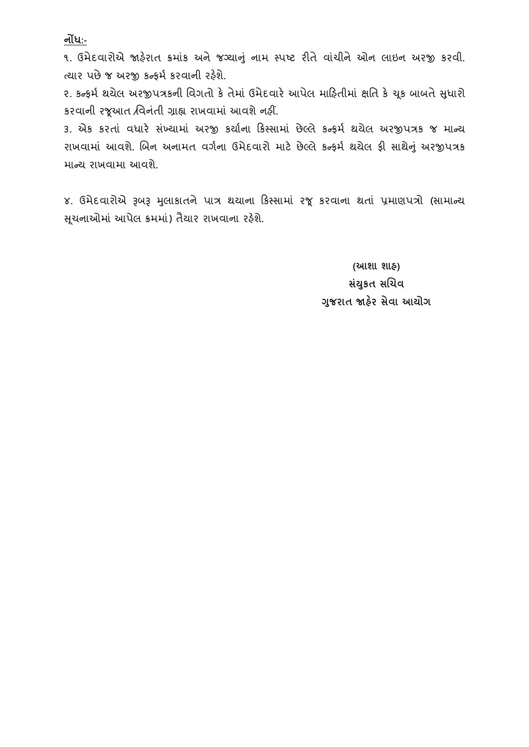**નોંધ:-**

૧. ઉમેદવારોએ જાહેરાત ક્રમાંક અને જગ્યાનું નામ સ્પષ્ટ રીતે વાંચીને ઓન લાઇન અરજી કરવી. ત્યાર પછે જ અરજી કન્કર્મ કરવાની રહેશે.

૨. કન્ફર્મ થયેલ અરજીપત્રકની વિગતો કે તેમાં ઉમેદવારે આપેલ મારિતીમાં ક્ષતિ કે ચુક બાબતે સુધારો કરિાની રજૂઆત /વિનતં ી ગ્રાહ્ય રાખિામાં આિશેનહીં.

૩. એક કરતાં વધારે સંખ્યામાં અરજી કર્યાના કિસ્સામાં છેલ્લે કન્ફર્મ થયેલ અરજીપત્રક જ માન્ય રાખવામાં આવશે. બિન અનામત વર્ગના ઉમેદવારો માટે છેલ્લે કન્ફર્મ થયેલ ફી સાથેનું અરજીપત્રક માન્ય રાખવામા આવશે.

૪. ઉમેદવારોએ રૂબરૂ મુલાકાતને પાત્ર થયાના કિસ્સામાં રજૂ કરવાના થતાં પ્રમાણપત્રો (સામાન્ય સુચનાઓમાં આપેલ ક્રમમાં) તૈયાર રાખવાના રહેશે.

> **(આશા શાહ) સયાં કુત સબચવ ગજુ રાત જાહરે સેવા આયોગ**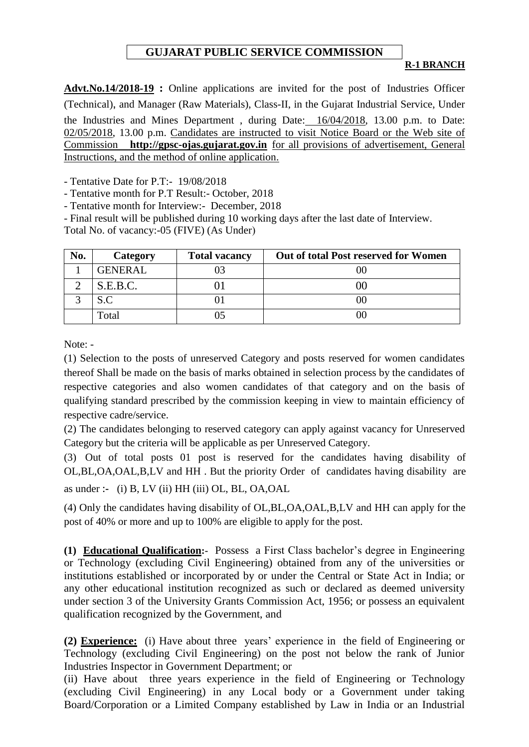## **GUJARAT PUBLIC SERVICE COMMISSION**

#### **R-1 BRANCH**

**Advt.No.14/2018-19 :** Online applications are invited for the post of Industries Officer (Technical)**,** and Manager (Raw Materials), Class-II, in the Gujarat Industrial Service, Under the Industries and Mines Department , during Date: 16/04/2018, 13.00 p.m. to Date: 02/05/2018, 13.00 p.m. Candidates are instructed to visit Notice Board or the Web site of Commission **[http://gpsc-ojas.gujarat.gov.in](http://gpsc-ojas.gujarat.gov.in/)** for all provisions of advertisement, General Instructions, and the method of online application.

- Tentative Date for P.T:- 19/08/2018

- Tentative month for P.T Result:- October, 2018

- Tentative month for Interview:- December, 2018

- Final result will be published during 10 working days after the last date of Interview.

Total No. of vacancy:-05 (FIVE) (As Under)

| No. | Category       | <b>Total vacancy</b> | <b>Out of total Post reserved for Women</b> |
|-----|----------------|----------------------|---------------------------------------------|
|     | <b>GENERAL</b> |                      |                                             |
|     | S.E.B.C.       |                      |                                             |
|     | S.C            |                      | OC.                                         |
|     | Total          |                      | I) (                                        |

Note: -

(1) Selection to the posts of unreserved Category and posts reserved for women candidates thereof Shall be made on the basis of marks obtained in selection process by the candidates of respective categories and also women candidates of that category and on the basis of qualifying standard prescribed by the commission keeping in view to maintain efficiency of respective cadre/service.

(2) The candidates belonging to reserved category can apply against vacancy for Unreserved Category but the criteria will be applicable as per Unreserved Category.

(3) Out of total posts 01 post is reserved for the candidates having disability of OL,BL,OA,OAL,B,LV and HH . But the priority Order of candidates having disability are as under **:-** (i) B, LV (ii) HH (iii) OL, BL, OA,OAL

(4) Only the candidates having disability of OL,BL,OA,OAL,B,LV and HH can apply for the post of 40% or more and up to 100% are eligible to apply for the post.

**(1) Educational Qualification:-** Possess a First Class bachelor's degree in Engineering or Technology (excluding Civil Engineering) obtained from any of the universities or institutions established or incorporated by or under the Central or State Act in India; or any other educational institution recognized as such or declared as deemed university under section 3 of the University Grants Commission Act, 1956; or possess an equivalent qualification recognized by the Government, and

**(2) Experience:** (i) Have about three years' experience in the field of Engineering or Technology (excluding Civil Engineering) on the post not below the rank of Junior Industries Inspector in Government Department; or

(ii) Have about three years experience in the field of Engineering or Technology (excluding Civil Engineering) in any Local body or a Government under taking Board/Corporation or a Limited Company established by Law in India or an Industrial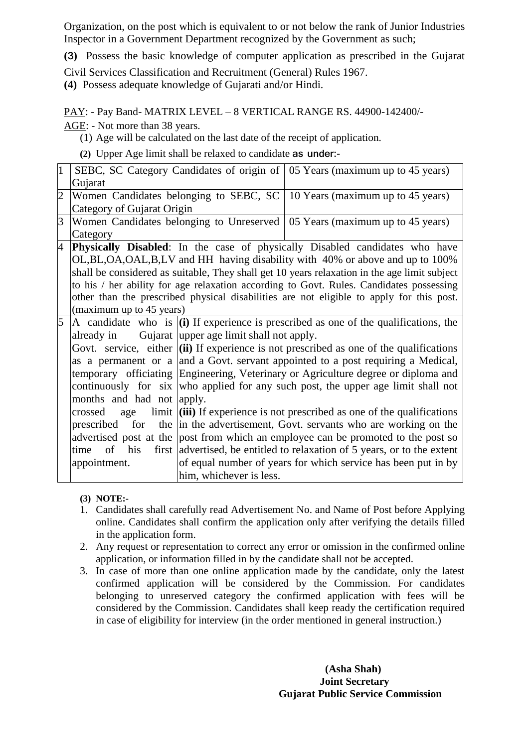Organization, on the post which is equivalent to or not below the rank of Junior Industries Inspector in a Government Department recognized by the Government as such;

**(3)** Possess the basic knowledge of computer application as prescribed in the Gujarat

Civil Services Classification and Recruitment (General) Rules 1967.

**(4)** Possess adequate knowledge of Gujarati and/or Hindi.

PAY: - Pay Band- MATRIX LEVEL – 8 VERTICAL RANGE RS. 44900-142400/-

AGE: - Not more than 38 years.

(1) Age will be calculated on the last date of the receipt of application.

**(2)** Upper Age limit shall be relaxed to candidate **as under:-**

|   |                                                                                                             |                                          | SEBC, SC Category Candidates of origin of 05 Years (maximum up to 45 years)                     |
|---|-------------------------------------------------------------------------------------------------------------|------------------------------------------|-------------------------------------------------------------------------------------------------|
|   | Gujarat                                                                                                     |                                          |                                                                                                 |
|   | Women Candidates belonging to SEBC, SC   10 Years (maximum up to 45 years)                                  |                                          |                                                                                                 |
|   | Category of Gujarat Origin                                                                                  |                                          |                                                                                                 |
| 3 | Women Candidates belonging to Unreserved $\vert$ 05 Years (maximum up to 45 years)                          |                                          |                                                                                                 |
|   | Category                                                                                                    |                                          |                                                                                                 |
| 4 |                                                                                                             |                                          | Physically Disabled: In the case of physically Disabled candidates who have                     |
|   |                                                                                                             |                                          | OL, BL, OA, OAL, B, LV and HH having disability with 40% or above and up to 100%                |
|   |                                                                                                             |                                          | shall be considered as suitable, They shall get 10 years relaxation in the age limit subject    |
|   |                                                                                                             |                                          | to his / her ability for age relaxation according to Govt. Rules. Candidates possessing         |
|   |                                                                                                             |                                          | other than the prescribed physical disabilities are not eligible to apply for this post.        |
|   | (maximum up to 45 years)                                                                                    |                                          |                                                                                                 |
| 5 |                                                                                                             |                                          | A candidate who is $\vert$ (i) If experience is prescribed as one of the qualifications, the    |
|   | already in                                                                                                  | Gujarat upper age limit shall not apply. |                                                                                                 |
|   |                                                                                                             |                                          | Govt. service, either $\vert$ (ii) If experience is not prescribed as one of the qualifications |
|   |                                                                                                             |                                          | as a permanent or a and a Govt. servant appointed to a post requiring a Medical,                |
|   | temporary officiating Engineering, Veterinary or Agriculture degree or diploma and                          |                                          |                                                                                                 |
|   | continuously for six who applied for any such post, the upper age limit shall not                           |                                          |                                                                                                 |
|   | months and had not apply.                                                                                   |                                          |                                                                                                 |
|   | limit $\left  \right $ (iii) If experience is not prescribed as one of the qualifications<br>crossed<br>age |                                          |                                                                                                 |
|   |                                                                                                             |                                          | prescribed for the in the advertisement, Govt. servants who are working on the                  |
|   |                                                                                                             |                                          | advertised post at the post from which an employee can be promoted to the post so               |
|   | of his<br>time                                                                                              |                                          | first advertised, be entitled to relaxation of 5 years, or to the extent                        |
|   | appointment.                                                                                                |                                          | of equal number of years for which service has been put in by                                   |
|   |                                                                                                             | him, whichever is less.                  |                                                                                                 |

**(3) NOTE:-**

- 1. Candidates shall carefully read Advertisement No. and Name of Post before Applying online. Candidates shall confirm the application only after verifying the details filled in the application form.
- 2. Any request or representation to correct any error or omission in the confirmed online application, or information filled in by the candidate shall not be accepted.
- 3. In case of more than one online application made by the candidate, only the latest confirmed application will be considered by the Commission. For candidates belonging to unreserved category the confirmed application with fees will be considered by the Commission. Candidates shall keep ready the certification required in case of eligibility for interview (in the order mentioned in general instruction.)

 **(Asha Shah) Joint Secretary Gujarat Public Service Commission**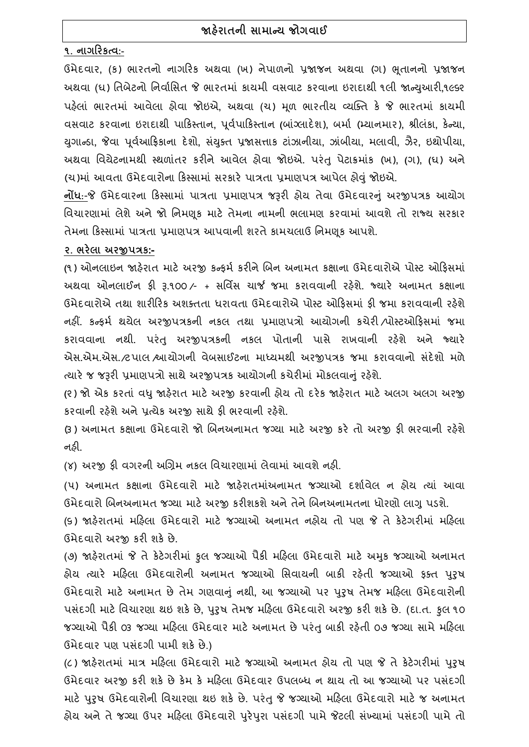# **જાહરે ાતની સામાન્ય જોગવાઈ**

### **૧. નાગહરકત્વ:-**

ઉમેદિાર**,** (ક) ભારતનો નાગરરક અથિા (ખ) નેપાળનો પ્રજાજન અથિા (ગ) ભતૂ ાનનો પ્રજાજન અથિા (ઘ) વતબેટનો વનિાગવસત જે ભારતમાં કાયમી િસિાટ કરિાના ઇરાદાથી ૧લી જાન્યઆુ રી**,**૧૯૬૨ પહલે ાં ભારતમાં આિેલા હોિા જોઇએ**,** અથિા (ચ) મળૂ ભારતીય વ્યક્તત કે જે ભારતમાં કાયમી િસિાટ કરિાના ઇરાદાથી પારકસ્તાન**,** પિૂ ગપારકસ્તાન **(**બાગ્ં લાદેશ)**,** બમાગ (મ્યાનમાર)**,** શ્રીલંકા**,** કેન્યા**,**  યગુ ાન્ર્ા**,** જેિા પિૂ ગઆરિકાના દેશો**,** સયં તુત પ્રજાસત્તાક ટાંઝાનીયા**,** ઝાંબીયા**,** મલાિી**,** ઝૈર**,** ઇથોપીયા**,**  અથિા વિયેટનામથી સ્થળાતં ર કરીનેઆિેલ હોિા જોઇએ. પરંતુપેટાક્રમાકં (ખ)**, (**ગ)**, (**ઘ) અને (ચ)માં આવતા ઉમેદવારોના કિસ્સામાં સરકારે પાત્રતા પ્રમાણપત્ર આપેલ હોવું જોઇએ.

**નોંધ**:-જે ઉમેદવારના કિસ્સામાં પાત્રતા પ્રમાણપત્ર જરૂરી હોય તેવા ઉમેદવારનું અરજીપત્રક આયોગ વિચારણામાં લેશેઅનેજો વનમણકૂ માટે તેમના નામની ભલામણ કરિામાં આિશેતો રાજ્ય સરકાર તેમના રકસ્સામાં પાત્રતા પ્રમાણપત્ર આપિાની શરતેકામચલાઉ વનમણકૂ આપશે.

#### **૨. ભરેલા અરજીપત્રક:-**

**(**૧) ઓનલાઇન જાહરે ાત માટે અરજી કન્ફમગ કરીનેચબન અનામત કક્ષાના ઉમેદિારોએ પોસ્ટ ઓરફસમાં અથવા ઓનલાઈન ફ્રી રૂ.૧૦૦ ⁄- + સર્વિસ ચાર્જ જમા કરાવવાની રહેશે. જ્યારે અનામત કક્ષાના ઉમેદવારોએ તથા શારીરિક અશક્તતા ધરાવતા ઉમેદવારોએ પોસ્ટ ઓકિસમાં કી જમા કરાવવાની રહેશે નહીં. કન્ફમગ થયેલ અરજીપત્રકની નકલ તથા પ્રમાણપત્રો આયોગની કચેરી /પોસ્ટઓરફસમાં જમા કરાિિાના નથી. પરંતુ અરજીપત્રકની નકલ પોતાની પાસે રાખિાની રહશે ે અને જ્યારે એસ.એમ.એસ**.**/ટપાલ /આયોગની િેબસાઈટના માધ્યમથી અરજીપત્રક જમા કરાિિાનો સદં ેશો મળે ત્યારે જ જરૂરી પ્રમાણપત્રો સાથે અરજીપત્રક આયોગની કચેરીમાં મોકલવાનું રહેશે.

**(**૨) જો એક કરતાં િધુજાહરે ાત માટેઅરજી કરિાની હોય તો દરેક જાહરે ાત માટેઅલગ અલગ અરજી કરવાની રહેશે અને પ્રત્યેક અરજી સાથે કી ભરવાની રહેશે.

(૩) અનામત કક્ષાના ઉમેદવારો જો બિનઅનામત જગ્યા માટે અરજી કરે તો અરજી કી ભરવાની રહેશે નહી.

(૪) અરજી ફી વગરની અગ્રિમ નકલ વિચારણામાં લેવામાં આવશે નહી.

(૫) અનામત કક્ષાના ઉમેદવારો માટે જાહેરાતમાંઅનામત જગ્યાઓ દર્શાવેલ ન હોય ત્યાં આવા ઉમેદવારો બિનઅનામત જગ્યા માટે અરજી કરીશકશે અને તેને બિનઅનામતના ધોરણો લાગુ પડશે.

(૬) જાહેરાતમાં મહિલા ઉમેદવારો માટે જગ્યાઓ અનામત નહોય તો પણ જે તે કેટેગરીમાં મહિલા ઉમેદિારો અરજી કરી શકેછે.

(૭) જાહરે ાતમાં જે તેકેટેગરીમાં કુલ જગ્યાઓ પૈકી મરહલા ઉમેદિારો માટે અમકુ જગ્યાઓ અનામત હોય ત્યારે મહિલા ઉમેદવારોની અનામત જગ્યાઓ સિવાયની બાકી રહેતી જગ્યાઓ કક્ત પુરૂષ ઉમેદિારો માટે અનામત છેતેમ ગણિાનંુનથી**,** આ જગ્યાઓ પર પરુુર્ તેમજ મરહલા ઉમેદિારોની પસદં ગી માટેવિચારણા થઇ શકેછે**,** પરુુર્ તેમજ મરહલા ઉમેદિારો અરજી કરી શકેછે. (દા.ત. કુલ ૧૦ જગ્યાઓ પૈકી ૦૩ જગ્યા મહિલા ઉમેદવાર માટે અનામત છે પરંતુ બાકી રહેતી ૦૭ જગ્યા સામે મહિલા ઉમેદવાર પણ પસંદગી પામી શકે છે.)

(૮) જાહરે ાતમાં માત્ર મરહલા ઉમેદિારો માટે જગ્યાઓ અનામત હોય તો પણ જે તેકેટેગરીમાં પરુુર્ ઉમેદવાર અરજી કરી શકે છે કેમ કે મહિલા ઉમેદવાર ઉપલબ્ધ ન થાય તો આ જગ્યાઓ પર પસંદગી માટે પુરુષ ઉમેદવારોની વિચારણા થઇ શકે છે. પરંતુ જે જગ્યાઓ મહિલા ઉમેદવારો માટે જ અનામત હોય અને તે જગ્યા ઉપર મહિલા ઉમેદવારો પુરેપુરા પસંદગી પામે જેટલી સંખ્યામાં પસંદગી પામે તો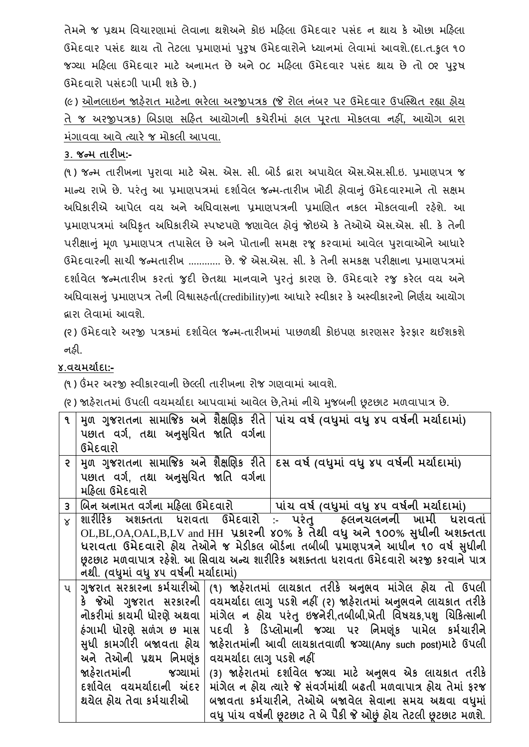તેમને જ પથ્રમ વિચારણામાં લેવાના થશેઅને કોઇ મહિલા ઉમેદવાર પસંદ ન થાય કે ઓછા મહિલા ઉમેદવાર પસંદ થાય તો તેટલા પ્રમાણમાં પુરુષ ઉમેદવારોને ધ્યાનમાં લેવામાં આવશે.(દા.ત.કુલ ૧૦ જગ્યા મહિલા ઉમેદવાર માટે અનામત છે અને ૦૮ મહિલા ઉમેદવાર પસંદ થાય છે તો ૦૨ પરષ ઉમેદિારો પસંદગી પામી શકેછે.)

(૯) ઓનલાઇન જાહેરાત માટેના ભરેલા અરજીપત્રક (જે રોલ નંબર પર ઉમેદવાર ઉપસ્થિત રહ્યા હોય તે જ અરજીપત્રક) ચબર્ાણ સરહત આયોગની કચેરીમાં હાલ પરૂતા મોકલિા નહીં**,** આયોગ દ્રારા મંગાવવા આવે ત્યારે જ મોકલી આપવા.

# **૩. જન્મ તારીખ:-**

(૧ ) જન્મ તારીખના પરુાિા માટે એસ. એસ. સી**.** બોર્ગ દ્વારા અપાયેલ એસ.એસ.સી.ઇ. પ્રમાણપત્ર જ માન્ય રાખેછે. પરંતુઆ પ્રમાણપત્રમાં દશાગિેલ જન્મ**-**તારીખ ખોટી હોિાનંુઉમેદિારમાનેતો સક્ષમ અધિકારીએ આપેલ વય અને અધિવાસના પ્રમાણપત્રની પ્રમાણિત નકલ મોકલવાની રહેશે. આ પ્રમાણપત્રમાં અવિકૃત અવિકારીએ સ્પષ્ટપણેજણાિેલ હોવંુજોઇએ કે તેઓએ એસ.એસ. સી. કે તેની પરીક્ષાનું મૂળ પ્રમાણપત્ર તપાસેલ છે અને પોતાની સમક્ષ રજૂ કરવામાં આવેલ પુરાવાઓને આધારે ઉમેદિારની સાચી જન્મતારીખ ............ છે. જે એસ.એસ. સી. કે તેની સમકક્ષ પરીક્ષાના પ્રમાણપત્રમાં દર્શાવેલ જન્મતારીખ કરતાં જુદી છેતથા માનવાને પરતું કારણ છે. ઉમેદવારે રજુ કરેલ વય અને અધિવાસનું પ્રમાણપત્ર તેની વિશ્વાસહ્રર્તા(credibility)ના આધારે સ્વીકાર કે અસ્વીકારનો નિર્ણય આયોગ દ્વારા લેિામાં આિશે.

**(**૨ ) ઉમેદિારે અરજી પત્રકમાં દશાગિેલ જન્મ**-**તારીખમાં પાછળથી કોઇપણ કારણસર ફેરફાર થઈશકશે નહી.

# **૪.વયમયાગદા:-**

(૧) ઉંમર અરજી સ્વીકારવાની છેલ્લી તારીખના રોજ ગણવામાં આવશે.

(૨ ) જાહરે ાતમાં ઉપલી િયમયાગદા આપિામાં આિેલ છે**,**તેમાં નીચેમજુ બની છૂટછાટ મળિાપાત્ર છે.

| $\mathbf{q}$   |                                                                                                                                                                                            |                          | મુળ ગુજરાતના સામાજિક અને શૈક્ષણિક રીતે પાંચ વર્ષ (વધુમાં વધુ ૪૫ વર્ષની મર્યાદામાં)                                                                                                                                                                                                                                                                                                                                                                                                                                                                                                                                      |
|----------------|--------------------------------------------------------------------------------------------------------------------------------------------------------------------------------------------|--------------------------|-------------------------------------------------------------------------------------------------------------------------------------------------------------------------------------------------------------------------------------------------------------------------------------------------------------------------------------------------------------------------------------------------------------------------------------------------------------------------------------------------------------------------------------------------------------------------------------------------------------------------|
|                | પછાત વર્ગ, તથા અનુસુચિત જાતિ વર્ગના<br>ઉમેદવારો                                                                                                                                            |                          |                                                                                                                                                                                                                                                                                                                                                                                                                                                                                                                                                                                                                         |
| $\overline{e}$ | પછાત વર્ગ, તથા અનુસુચિત જાતિ વર્ગના<br>મહિલા ઉમેદવારો                                                                                                                                      |                          | મુળ ગુજરાતના સામાજિક અને શૈક્ષણિક રીતે   દસ વર્ષ (વધુમાં વધુ ૪૫ વર્ષની મર્યાદામાં)                                                                                                                                                                                                                                                                                                                                                                                                                                                                                                                                      |
| $\overline{3}$ |                                                                                                                                                                                            |                          |                                                                                                                                                                                                                                                                                                                                                                                                                                                                                                                                                                                                                         |
| $\times$       | નથી. (વધુમાં વધુ ૪૫ વર્ષની મર્યાદામાં)                                                                                                                                                     |                          | શારીરિક અશક્તતા ધરાવતા ઉમેદવારો :- પરંતુ હલનચલનની ખામી ધરાવતાં<br>OL,BL,OA,OAL,B,LV and HH પ્રકારની ૪૦% કે તેથી વધુ અને ૧૦૦% સુધીની અશક્તતા<br>ધરાવતા ઉમેદવારો હોય તેઓને જ મેડીકલ બોર્ડના તબીબી પ્રમાણપત્રને આધીન ૧૦ વર્ષ સુધીની<br>છૂટછાટ મળવાપાત્ર રહેશે. આ સિવાય અન્ય શારીરિક અશક્તતા ધરાવતા ઉમેદવારો અરજી કરવાને પાત્ર                                                                                                                                                                                                                                                                                              |
| $\mathbf{u}$   | નોકરીમાં કાચમી ધોરણે અથવા<br>ઠંગામી ધોરણે સળંગ છ માસ<br>સુધી કામગીરી બજાવતા હોય<br>અને તેઓની પ્રથમ નિમણંક<br>જાહેરાતમાંની જગ્યામાં<br>દર્શાવેલ વયમર્યાદાની અંદર<br>થયેલ હોય તેવા કર્મચારીઓ | વયમર્યાદા લાગુ પડશે નહીં | ગુજરાત સરકારના કર્મચારીઓ  (૧) જાહેરાતમાં લાયકાત તરીકે અનુભવ માંગેલ હોય તો ઉપલી<br>કે  જેઓ  ગુજરાત  સરકારની   વયમર્યાદા લાગુ પડશે નહીં (૨) જાહેરાતમાં અનુભવને લાયકાત તરીકે<br>માંગેલ ન હોય પરંતુ ઇજનેરી,તબીબી,ખેતી વિષયક,પશુ ચિકિત્સાની<br>પદવી કે ડિપ્લોમાની જગ્યા પર નિમણૂંક પામેલ કર્મચારીને<br>જાહેરાતમાંની આવી લાયકાતવાળી જગ્યા(Any such post)માટે ઉપલી<br>(3) જાહેરાતમાં દર્શાવેલ જગ્યા માટે અનુભવ એક લાયકાત તરીકે<br>માંગેલ ન હોય ત્યારે જે સંવર્ગમાંથી બઢતી મળવાપાત્ર હોય તેમાં ફરજ<br>બજાવતા કર્મચારીને, તેઓએ બજાવેલ સેવાના સમય અથવા વધુમાં<br>વધુ પાંચ વર્ષની છુટછાટ તે બે પૈકી જે ઓછું હોય તેટલી છુટછાટ મળશે. |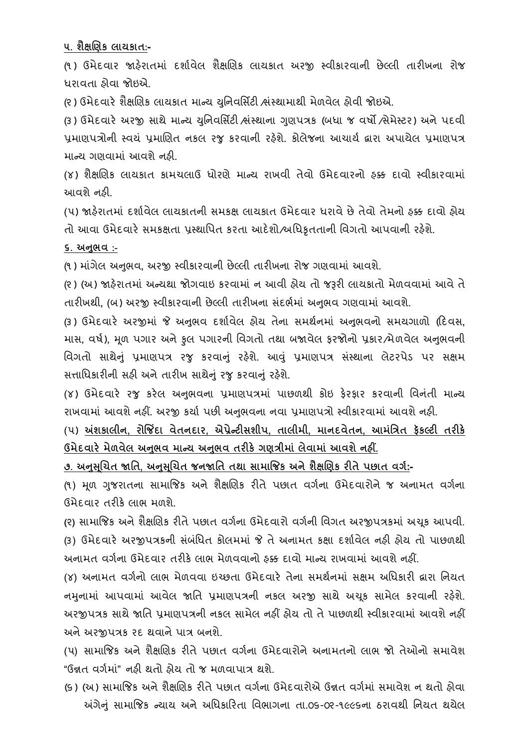**૫. શૈક્ષબણક લાયકાત:-**

(૧ ) ઉમેદિાર જાહરે ાતમાં દશાગિેલ શૈક્ષચણક લાયકાત અરજી સ્િીકારિાની છેલ્લી તારીખના રોજ િરાિતા હોિા જોઇએ.

(૨) ઉમેદવારે શૈક્ષણિક લાયકાત માન્ય યુનિવર્સિટી ભ્રંસ્થામાથી મેળવેલ હોવી જોઇએ.

(૩) ઉમેદવારે અરજી સાથે માન્ય યનિવર્સિટી ભ્રંસ્થાના ગણપત્રક (બધા જ વર્ષો /સેમેસ્ટર) અને પદવી પ્રમાણપત્રોની સ્વયં પ્રમાણિત નકલ રજુ કરવાની રહેશે. કોલેજના આચાર્ય દ્વારા અપાયેલ પ્રમાણપત્ર માન્ય ગણવામાં આવશે નહી.

(૪) શૈક્ષણિક લાયકાત કામચલાઉ ધોરણે માન્ય રાખવી તેવો ઉમેદવારનો ફક્ક દાવો સ્વીકારવામાં આિશેનહી.

(૫) જાહેરાતમાં દર્શાવેલ લાયકાતની સમકક્ષ લાયકાત ઉમેદવાર ધરાવે છે તેવો તેમનો હક્ક દાવો હોય તો આવા ઉમેદવારે સમકક્ષતા પ્રસ્થાપિત કરતા આદેશો/અધિકૃતતાની વિગતો આપવાની રહેશે.

### **૬. અનભુ વ :-**

(૧ ) માગં ેલ અનભુ િ**,** અરજી સ્િીકારિાની છેલ્લી તારીખના રોજ ગણિામાં આિશે.

(૨) (અ) જાહેરાતમાં અન્યથા જોગવાઇ કરવામાં ન આવી હોય તો જરૂરી લાયકાતો મેળવવામાં આવે તે તારીખથી**,** (બ) અરજી સ્િીકારિાની છેલ્લી તારીખના સદં ભગમાં અનભુ િ ગણિામાં આિશે.

(૩ ) ઉમેદિારે અરજીમાં જે અનભુ િ દશાગિેલ હોય તેના સમથગનમાં અનભુ િનો સમયગાળો (રદિસ**,**  માસ, વર્ષ), મૂળ પગાર અને કુલ પગારની વિગતો તથા બજાવેલ ફરજોનો પ્રકાર*/*મેળવેલ અનુભવની વિગતો સાથેનું પ્રમાણપત્ર રજુ કરવાનું રહેશે. આવું પ્રમાણપત્ર સંસ્થાના લેટરપેડ પર સક્ષમ સત્તાધિકારીની સહી અને તારીખ સાથેનું રજુ કરવાનું રહેશે.

(૪) ઉમેદવારે રજુ કરેલ અનુભવના પ્રમાણપત્રમાં પાછળથી કોઇ ફેરફાર કરવાની વિનંતી માન્ય રાખવામાં આવશે નહીં. અરજી કર્યા પછી અનુભવના નવા પ્રમાણપત્રો સ્વીકારવામાં આવશે નહી.

(૫) **અંશકાલીન, રોજજિંદા વેતનદાર, એપ્રેન્ટીસશીપ, તાલીમી, માનદવેતન, આમાંધત્રત ફકૅ લ્ટી તરીકે ઉમેદવારેમેળવેલ અનભુ વ માન્ય અનભુ વ તરીકેગણત્રીમાાં લેવામાાં આવશેનહીં.**

**૭. અનસુ બ ચત જાધત, અનસુ બ ચત જનજાધત તથા સામાજજક અનેશૈક્ષબણક રીતેપછાત વગગ:-**

(૧) મળ ગુજરાતના સામાજિક અને શૈક્ષણિક રીતે પછાત વર્ગના ઉમેદવારોને જ અનામત વર્ગના ઉમેદિાર તરીકેલાભ મળશે.

**(**૨**)** સામાજજક અનેશૈક્ષચણક રીતેપછાત િગગના ઉમેદિારો િગગની વિગત અરજીપત્રકમાં અચકૂ આપિી. (૩) ઉમેદવારે અરજીપત્રકની સંબંધિત કોલમમાં જે તે અનામત કક્ષા દર્શાવેલ નહી હોય તો પાછળથી અનામત વર્ગના ઉમેદવાર તરીકે લાભ મેળવવાનો ઠક્ક દાવો માન્ય રાખવામાં આવશે નહીં.

(૪) અનામત વર્ગનો લાભ મેળવવા ઇચ્છતા ઉમેદવારે તેના સમર્થનમાં સક્ષમ અધિકારી દ્વારા નિયત નમુનામાં આપવામાં આવેલ જાતિ પ્રમાણપત્રની નકલ અરજી સાથે અચુક સામેલ કરવાની રહેશે. અરજીપત્રક સાથે જાતિ પમાણપત્રની નકલ સામેલ નહીં હોય તો તે પાછળથી સ્વીકારવામાં આવશે નહીં અને અરજીપત્રક રદ થવાને પાત્ર બનશે.

(૫) સામાજિક અને શૈક્ષણિક રીતે પછાત વર્ગના ઉમેદવારોને અનામતનો લાભ જો તેઓનો સમાવેશ "ઉન્નત િગગમાં" નહી થતો હોય તો જ મળિાપાત્ર થશે.

(૬) (અ) સામાજિક અને શૈક્ષણિક રીતે પછાત વર્ગના ઉમેદવારોએ ઉન્નત વર્ગમાં સમાવેશ ન થતો હોવા અંગેનં સામાજિક ન્યાય અને અધિકારિતા વિભાગના તા.૦૬-૦૨-૧૯૯૬ના ઠરાવથી નિયત થયેલ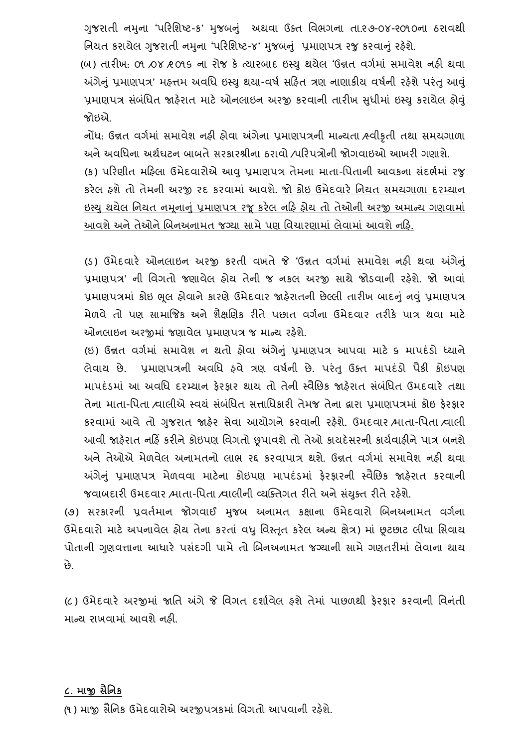ગુજરાતી નમુના 'પરિશિષ્ટ-ક' મુજબનું અથવા ઉક્ત વિભગના તા.૨૭-૦૪-૨૦૧૦ના ઠરાવથી નિયત કરાયેલ ગુજરાતી નમુના 'પરિશિષ્ટ-૪' મુજબનું પ્રમાણપત્ર રજુ કરવાનું રહેશે.

(બ) તારીખ: ૦૧ ⁄૦૪ ⁄૨૦૧૬ ના રોજ કે ત્યારબાદ ઇસ્ય થયેલ 'ઉન્નત વર્ગમાં સમાવેશ નહી થવા અંગેનું પ્રમાણપત્ર' મહત્તમ અવધિ ઇસ્યુ થયા-વર્ષ સહિત ત્રણ નાણાકીય વર્ષની રહેશે પરંતુ આવું પ્રમાણપત્ર સંબંધિત જાહેરાત માટે ઓનલાઇન અરજી કરવાની તારીખ સુધીમાં ઇસ્યુ કરાયેલ હોવું જોઇએ.

નોંધ: ઉન્નત વર્ગમાં સમાવેશ નહી હોવા અંગેના પ્રમાણપત્રની માન્યતા હ્વીકૃતી તથા સમયગાળા અને અવધિના અર્થઘટન બાબતે સરકારશ્રીના ઠરાવો /પરિપત્રોની જોગવાઇઓ આખરી ગણાશે.

(ક) પરિણીત મહિલા ઉમેદવારોએ આવુ પ્રમાણપત્ર તેમના માતા-પિતાની આવકના સંદર્ભમાં રજુ કરેલ હશેતો તેમની અરજી રદ કરિામાં આિશે. જો કોઇ ઉમેદિારે વનયત સમયગાળા દરમ્યાન ઇસ્યુ થયેલ નિયત નમૂનાનું પ્રમાણપત્ર રજૂ કરેલ નહિ હોય તો તેઓની અરજી અમાન્ય ગણવામાં આવશે અને તેઓને બિનઅનામત જગ્યા સામે પણ વિચારણામાં લેવામાં આવશે નહિ.

(ડ) ઉમેદવારે ઓનલાઇન અરજી કરતી વખતે જે 'ઉન્નત વર્ગમાં સમાવેશ નહી થવા અંગેનું પ્રમાણપત્ર' ની વિગતો જણાવેલ હોય તેની જ નકલ અરજી સાથે જોડવાની રહેશે. જો આવાં પ્રમાણપત્રમાં કોઇ ભલ હોવાને કારણે ઉમેદવાર જાહેરાતની છેલ્લી તારીખ બાદનું નવું પ્રમાણપત્ર મેળવે તો પણ સામાજિક અને શૈક્ષણિક રીતે પછાત વર્ગના ઉમેદવાર તરીકે પાત્ર થવા માટે ઓનલાઇન અરજીમાં જણાવેલ પ્રમાણપત્ર જ માન્ય રહેશે.

(ઇ) ઉન્નત વર્ગમાં સમાવેશ ન થતો હોવા અંગેનું પ્રમાણપત્ર આપવા માટે ૬ માપદંડો ધ્યાને લેવાય છે. પ્રમાણપત્રની અવધિ હવે ત્રણ વર્ષની છે. પરંતુ ઉક્ત માપદંડો પૈકી કોઇપણ માપદંડમાં આ અવધિ દરમ્યાન ફેરફાર થાય તો તેની સ્વૈછિક જાફેરાત સંબંધિત ઉમદવારે તથા તેના માતા-પિતા /વાલીએ સ્વયં સંબંધિત સત્તાધિકારી તેમજ તેના દ્વારા પ્રમાણપત્રમાં કોઇ કેરકાર કરવામાં આવે તો ગુજરાત જાહેર સેવા આયોગને કરવાની રહેશે. ઉમદવાર /માતા-પિતા /વાલી આવી જાહેરાત નહિં કરીને કોઇપણ વિગતો છૂપાવશે તો તેઓ કાયદેસરની કાર્યવાહીને પાત્ર બનશે અનેતેઓએ મેળિેલ અનામતનો લાભ રદ્દ કરિાપાત્ર થશે. ઉન્નત િગગમાં સમાિેશ નહી થિા અંગેનું પ્રમાણપત્ર મેળવવા માટેના કોઇપણ માપદંડમાં ફેરફારની સ્વૈછિક જાહેરાત કરવાની જવાબદારી ઉમદવાર /માતા-પિતા /વાલીની વ્યક્તિગત રીતે અને સંયુક્ત રીતે રહેશે.

(૭) સરકારની પ્રવર્તમાન જોગવાઈ મુજબ અનામત કક્ષાના ઉમેદવારો બિનઅનામત વર્ગના ઉમેદવારો માટે અપનાવેલ હોય તેના કરતાં વધુ વિસ્તૃત કરેલ અન્ય ક્ષેત્ર) માં છૂટછાટ લીધા સિવાય પોતાની ગુણવત્તાના આધારે પસંદગી પામે તો બિનઅનામત જગ્યાની સામે ગણતરીમાં લેવાના થાય છે.

(૮) ઉમેદવારે અરજીમાં જાતિ અંગે જે વિગત દર્શાવેલ ફશે તેમાં પાછળથી ફેરફાર કરવાની વિનંતી માન્ય રાખવામાં આવશે નહી.

#### **૮. માજી સૈધનક**

(૧) માજી સૈનિક ઉમેદવારોએ અરજીપત્રકમાં વિગતો આપવાની રહેશે.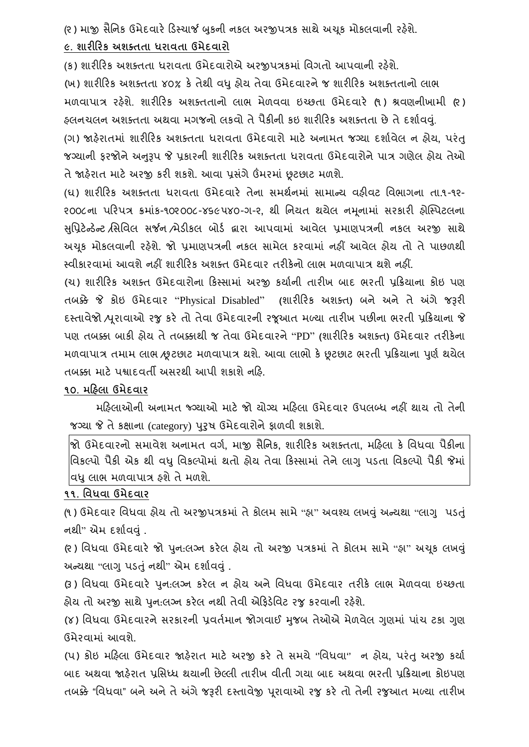(૨) માજી સૈનિક ઉમેદવારે ડિસ્ચાર્જ બુકની નકલ અરજીપત્રક સાથે અચુક મોકલવાની રફેશે.

## **૯. શારીહરક અશક્તતા ધરાવતા ઉમેદવારો**

(ક) શારીરિક અશક્તતા ધરાવતા ઉમેદવારોએ અરજીપત્રકમાં વિગતો આપવાની રહેશે.

(ખ) શારીરિક અશક્તતા ૪૦% કે તેથી વધુ હોય તેવા ઉમેદવારને જ શારીરિક અશક્તતાનો લાભ મળવાપાત્ર રહેશે. શારીરિક અશક્તતાનો લાભ મેળવવા ઇચ્છતા ઉમેદવારે (૧) શ્રવણનીખામી (૨) હલનચલન અશક્તતા અથવા મગજનો લકવો તે પૈકીની કઇ શારીરિક અશક્તતા છે તે દર્શાવવ.

(ગ) જાહરે ાતમાં શારીરરક અશતતતા િરાિતા ઉમેદિારો માટે અનામત જગ્યા દશાગિેલ ન હોય**,** પરંતુ જગ્યાની ફરજોને અનુરૂપ જે પ્રકારની શારીરિક અશક્તતા ધરાવતા ઉમેદવારોને પાત્ર ગણેલ હોય તેઓ તેજાહરે ાત માટેઅરજી કરી શકશે. આિા પ્રસગં ેઉંમરમાં છૂટછાટ મળશે.

(ઘ) શારીરરક અશતતતા િરાિતા ઉમેદિારે તેના સમથગનમાં સામાન્ય િહીિટ વિભાગના તા.૧-૧૨- ૨૦૦૮ના પરરપત્ર ક્રમાંક-૧૦૨૦૦૮-૪૬૯૫૪૦-ગ-૨**,** થી વનયત થયેલ નમનામાં સરકારી હોક્સ્પટલના ૂ સવુપ્રટેન્ર્ન્ેટ /વસવિલ સર્જન /મેર્ીકલ બોર્ગ દ્વારા આપિામાં આિેલ પ્રમાણપત્રની નકલ અરજી સાથે અચૂક મોકલવાની રહેશે. જો પ્રમાણપત્રની નકલ સામેલ કરવામાં નહીં આવેલ હોય તો તે પાછળથી સ્િીકારિામાં આિશેનહીં શારીરરક અશતત ઉમેદિાર તરીકેનો લાભ મળિાપાત્ર થશેનહીં.

(ચ) શારીરિક અશક્ત ઉમેદવારોના કિસ્સામાં અરજી કર્યાની તારીખ બાદ ભરતી પ્રક્રિયાના કોઇ પણ તબક્કે જે કોઇ ઉમેદિાર "Physical Disabled" **(**શારીરરક અશતત**)** બને અને તે અંગે જરૂરી દસ્તાિેજો /પરૂાિાઓ રજુકરે તો તેિા ઉમેદિારની રજૂઆત મળ્યા તારીખ પછીના ભરતી પ્રરક્રયાના જે પણ તબક્કા બાકી હોય તેતબક્કાથી જ તેિા ઉમેદિારને"PD" **(**શારીરરક અશતત**)** ઉમેદિાર તરીકેના મળવાપાત્ર તમામ લાભ ⁄છૂટછાટ મળવાપાત્ર થશે. આવા લાભો કે છૂટછાટ ભરતી પ્રક્રિયાના પૂર્ણ થયેલ તબક્કા માટે પશ્વાદવર્તી અસરથી આપી શકાશે નહિ.

# **૧૦. મહહલા ઉમેદવાર**

મરિલાઓની અનામત જ્ગ્યાઓ માટે જો યોગ્ય મરિલા ઉમેદવાર ઉપલબ્ધ નહીં થાય તો તેની જગ્યા જે તે કક્ષાના (category) પુરુષ ઉમેદવારોને ફાળવી શકાશે.

જો ઉમેદિારનો સમાિેશ અનામત િગગ**,** માજી સૈવનક**,** શારીરરક અશતતતા**,** મરહલા કે વિિિા પૈકીના વિકલ્પો પૈકી એક થી વધુ વિકલ્પોમાં થતો હોય તેવા કિસ્સામાં તેને લાગુ પડતા વિકલ્પો પૈકી જેમાં વધુ લાભ મળવાપાત્ર ફશે તે મળશે.

#### **૧૧. ધવધવા ઉમેદવાર**

(૧) ઉમેદવાર વિધવા હોય તો અરજીપત્રકમાં તે કોલમ સામે "હા" અવશ્ય લખવં અન્યથા "લાગુ પડતં નથી" એમ દર્શાવવં.

(૨) વિધવા ઉમેદવારે જો પૂન:લગ્ન કરેલ હોય તો અરજી પત્રકમાં તે કોલમ સામે "હા" અચકુ લખવું અન્યથા "લાગુપર્તંુનથી" એમ દશાગિવંુ.

(3) વિધવા ઉમેદવારે પુન:લગ્ન કરેલ ન હોય અને વિધવા ઉમેદવાર તરીકે લાભ મેળવવા ઇચ્છતા હોય તો અરજી સાથે પન:લગ્ન કરેલ નથી તેવી એકિડેવિટ રજુ કરવાની રહેશે.

(૪) વિધવા ઉમેદવારને સરકારની પ્રવર્તમાન જોગવાઈ મજબ તેઓએ મેળવેલ ગણમાં પાંચ ટકા ગણ ઉમેરિામાં આિશે.

(પ) કોઇ મરહલા ઉમેદિાર જાહરે ાત માટે અરજી કરે તેસમયે**''**વિિિા**''** ન હોય**,** પરંતુઅરજી કયાગ બાદ અથવા જાઠેરાત પ્રસિધ્ધ થયાની છેલ્લી તારીખ વીતી ગયા બાદ અથવા ભરતી પ્રક્રિયાના કોઇપણ તબક્કે "વિધવા" બને અને તે અંગે જરૂરી દસ્તાવેજી પૂરાવાઓ રજુ કરે તો તેની રજુઆત મળ્યા તારીખ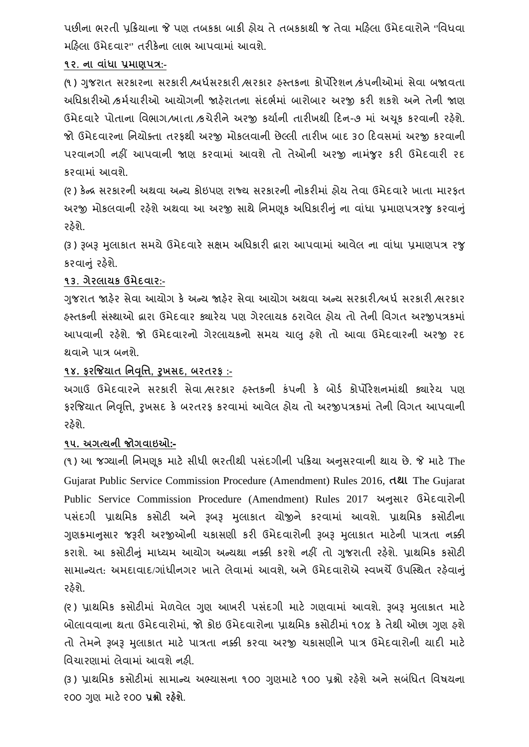પછીના ભરતી પ્રક્રિયાના જે પણ તબકકા બાકી હોય તે તબકકાથી જ તેવા મહિલા ઉમેદવારોને "વિધવા મરહલા ઉમેદિાર**''** તરીકેના લાભ આપિામાં આિશે.

## **૧૨. ના વાાંધા પ્રમાણપત્ર:-**

(૧) ગુજરાત સરકારના સરકારી /અર્ધસરકારી /સરકાર હસ્તકના કોર્પોરેશન /કંપનીઓમાં સેવા બજાવતા અધિકારીઓ ⁄કર્મચારીઓ આયોગની જાહેરાતના સંદર્ભમાં બારોબાર અરજી કરી શકશે અને તેની જાણ ઉમેદવારે પોતાના વિભાગ/ખાતા /કચેરીને અરજી કર્યાની તારીખથી દિન-૭ માં અચક કરવાની રહેશે. જો ઉમેદવારના નિયોક્તા તરફથી અરજી મોકલવાની છેલ્લી તારીખ બાદ ૩૦ દિવસમાં અરજી કરવાની પરવાનગી નહીં આપવાની જાણ કરવામાં આવશે તો તેઓની અરજી નામજૂર કરી ઉમેદવારી રદ કરિામાં આિશે.

(૨ ) કેન્દ્ર સરકારની અથિા અન્ય કોઇપણ રાજ્ય સરકારની નોકરીમાં હોય તેિા ઉમેદિારે ખાતા મારફત અરજી મોકલવાની રહેશે અથવા આ અરજી સાથે નિમણક અધિકારીનું ના વાંધા પ્રમાણપત્રરજુ કરવાનું રહેશે.

(૩) રૂબરૂ મલાકાત સમયે ઉમેદવારે સક્ષમ અધિકારી દ્વારા આપવામાં આવેલ ના વાંધા પ્રમાણપત્ર રજ કરવાનં રહેશે.

## **૧૩. ગેરલાયક ઉમેદવાર:-**

ગજરાત જાહેર સેવા આયોગ કે અન્ય જાહેર સેવા આયોગ અથવા અન્ય સરકારી/અર્ધ સરકારી ભરકાર હસ્તકની સસ્ં થાઓ દ્વારા ઉમેદિાર ક્યારેય પણ ગેરલાયક ઠરાિેલ હોય તો તેની વિગત અરજીપત્રકમાં આપવાની રહેશે. જો ઉમેદવારનો ગેરલાયકનો સમય ચાલુ હશે તો આવા ઉમેદવારની અરજી રદ થિાનેપાત્ર બનશે.

# **૧૪. ફરજજયાત ધનવધૃિ, રુખસદ, િરતરફ :-**

અગાઉ ઉમેદવારને સરકારી સેવા સરકાર ફસ્તકની કંપની કે બોર્ડ કોર્પોરેશનમાંથી ક્યારેય પણ ફરજજયાત વનવવૃત્ત**,** રુખસદ કે બરતરફ કરિામાં આિેલ હોય તો અરજીપત્રકમાં તેની વિગત આપિાની રહેશે.

### **૧૫. અગત્યની જોગવાઇઓ:-**

(૧ ) આ જગ્યાની વનમણકૂ માટે સીિી ભરતીથી પસદં ગીની પરક્રયા અનસુ રિાની થાય છે. જે માટે The Gujarat Public Service Commission Procedure (Amendment) Rules 2016, **તથા** The Gujarat Public Service Commission Procedure (Amendment) Rules 2017 અનુસાર ઉમેદવારોની પસંદગી પ્રાથમિક કસોટી અને રૂબરૂ મુલાકાત યોજીને કરવામાં આવશે. પ્રાથમિક કસોટીના ગુણક્રમાનુસાર જરૂરી અરજીઓની ચકાસણી કરી ઉમેદવારોની રૂબરૂ મુલાકાત માટેની પાત્રતા નક્કી કરાશે. આ કસોટીનું માધ્યમ આયોગ અન્યથા નક્કી કરશે નહીં તો ગુજરાતી રહેશે. પ્રાથમિક કસોટી સામાન્યત: અમદાવાદ/ગાંધીનગર ખાતે લેવામાં આવશે. અને ઉમેદવારોએ સ્વખર્ચે ઉપસ્થિત રહેવાનું રુકેશે.

(૨) પ્રાથમિક કસોટીમાં મેળવેલ ગણ આખરી પસંદગી માટે ગણવામાં આવશે. રૂબરૂ મલાકાત માટે બોલાવવાના થતા ઉમેદવારોમાં. જો કોઇ ઉમેદવારોના પ્રાથમિક કસોટીમાં ૧૦% કે તેથી ઓછા ગણ ફશે તો તેમને રૂબરૂ મુલાકાત માટે પાત્રતા નક્કી કરવા અરજી ચકાસણીને પાત્ર ઉમેદવારોની યાદી માટે વિચારણામાં લેવામાં આવશે નહી.

(૩) પ્રાથમિક કસોટીમાં સામાન્ય અભ્યાસના ૧૦૦ ગુણમાટે ૧૦૦ પ્રશ્નો રહેશે અને સબંધિત વિષયના ૨૦૦ ગણુ માટે૨૦૦ **પ્રશ્નો રહશે ે.**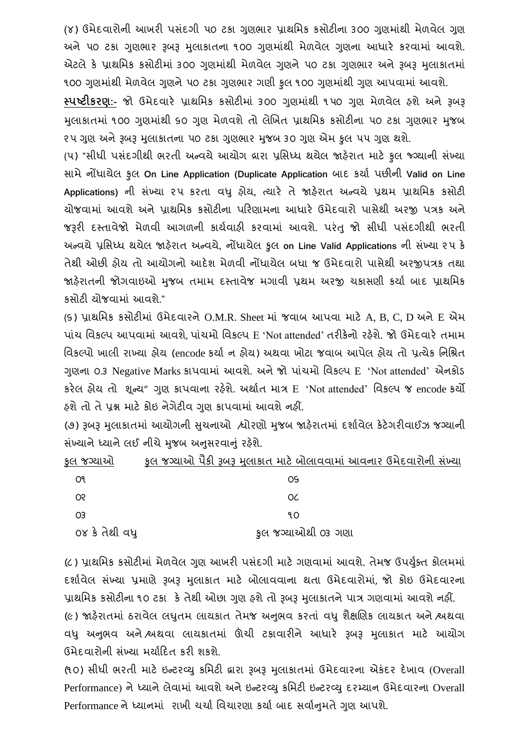(૪) ઉમેદવારોની આખરી પસંદગી ૫૦ ટકા ગણુભાર પ્રાથમિક કસોટીના ૩૦૦ ગણમાંથી મેળવેલ ગણ અને ૫૦ ટકા ગુણભાર રૂબરૂ મુલાકાતના ૧૦૦ ગુણમાંથી મેળવેલ ગુણના આધારે કરવામાં આવશે. એટલે કે પ્રાથમિક કસોટીમાં ૩૦૦ ગણમાંથી મેળવેલ ગણને ૫૦ ટકા ગણભાર અને રૂબરૂ મલાકાતમાં ૧૦૦ ગુણમાંથી મેળવેલ ગુણને ૫૦ ટકા ગુણભાર ગણી કુલ ૧૦૦ ગુણમાંથી ગુણ આપવામાં આવશે.

**સ્પષ્ટીકરણ:-** જો ઉમેદિારે પ્રાથવમક કસોટીમાં ૩૦૦ ગણુ માથં ી ૧ ૫૦ ગણુ મેળિેલ હશેઅને રૂબરૂ મુલાકાતમાં ૧૦૦ ગુણમાંથી ૬૦ ગુણ મેળવશે તો લેખિત પ્રાથમિક કસોટીના ૫૦ ટકા ગુણભાર મુજબ ૨૫ ગુણ અને રૂબરૂ મુલાકાતના ૫૦ ટકા ગુણભાર મુજબ ૩૦ ગુણ એમ કુલ ૫૫ ગુણ થશે.

(૫) "સીધી પસંદગીથી ભરતી અન્વયે આયોગ દ્રારા પ્રસિધ્ધ થયેલ જાહેરાત માટે કલ જ્ગ્યાની સંખ્યા સામેનોંિાયેલ કુલ **On Line Application (Duplicate Application** બાદ કયાગ પછીની **Valid on Line Applications)** ની સંખ્યા ૨૫ કરતા િધુ હોય**,** ત્યારે તે જાહરે ાત અન્િયે પ્રથમ પ્રાથવમક કસોટી યોજિામાં આિશેઅનેપ્રાથવમક કસોટીના પરરણામના આિારે ઉમેદિારો પાસેથી અરજી પત્રક અને જરૂરી દસ્તાવેજો મેળવી આગળની કાર્યવાફી કરવામાં આવશે. પરંતુ જો સીધી પસંદગીથી ભરતી અન્િયેપ્રવસધ્િ થયેલ જાહરે ાત અન્િયે**,** નોંિાયેલ કુલ **on Line Valid Applications** ની સંખ્યા ૨ ૫ કે તેથી ઓછી હોય તો આયોગનો આદેશ મેળિી નોંિાયેલ બિા જ ઉમેદિારો પાસેથી અરજીપત્રક તથા જાહેરાતની જોગવાઇઓ મુજબ તમામ દસ્તાવેજ મગાવી પ્રથમ અરજી ચકાસણી કર્યા બાદ પ્રાથમિક કસોટી યોજવામાં આવશે."

(૬) પ્રાથમિક કસોટીમાં ઉમેદવારને O.M.R. Sheet માં જવાબ આપવા માટે A, B, C, D અને E એમ પાચં વિકલ્પ આપિામાં આિશે, પાંચમો વિકલ્પ E 'Not attended' તરીકેનો રહશે ે. જો ઉમેદિારે તમામ વિકલ્પો ખાલી રાખ્યા હોય (encode કર્યા ન હોય) અથવા ખોટા જવાબ આપેલ હોય તો પ્રત્યેક નિશ્રિત ગણના 0.3 Negative Marks કાપવામાં આવશે. અને જો પાંચમો વિકલ્પ E 'Not attended' એનકોડ કરેલ હોય તો શુન્ય" ગુણ કાપવાના રહેશે. અર્થાત માત્ર E 'Not attended' વિકલ્પ જ encode કર્યો હશેતો તેપ્રશ્ન માટેકોઇ નેગેટીિ ગણુ કાપિામાં આિશેનહીં.

(૭) રૂબરૂ મલાકાતમાં આયોગની સચનાઓ /્યોરણો મજબ જાહેરાતમાં દર્શાવેલ કેટેગરીવાઈઝ જગ્યાની સંખ્યાને ધ્યાને લઈ નીચે મજબ અનસરવાનું રહેશે.

| ફલ જગ્યાઓ      | . કુલ જગ્યાઓ પૈકી રૂબરૂ મુલાકાત માટે બોલાવવામાં આવનાર ઉમેદવારોની સંખ્યા |
|----------------|-------------------------------------------------------------------------|
| O٩             | OS                                                                      |
| œ              | OC                                                                      |
| O <sub>3</sub> | ٩O                                                                      |
| ૦૪ કે તેથી વધુ | કૂલ જગ્યાઓથી ૦૩ ગણા                                                     |

(૮) પ્રાથમિક કસોટીમાં મેળવેલ ગુણ આખરી પસંદગી માટે ગણવામાં આવશે. તેમજ ઉપર્યકૃત કોલમમાં દર્શાવેલ સંખ્યા પ્રમાણે રૂબરૂ મલાકાત માટે બોલાવવાના થતા ઉમેદવારોમાં, જો કોઇ ઉમેદવારના પ્રાથમિક કસોટીના ૧૦ ટકા કે તેથી ઓછા ગણ ફશે તો રૂબરૂ મલાકાતને પાત્ર ગણવામાં આવશે નહીં. (૯) જાહેરાતમાં ઠરાવેલ લઘુતમ લાયકાત તેમજ અનુભવ કરતાં વધુ શૈક્ષણિક લાયકાત અને શ્વશ્વવા વધુ અનુભવ અને શ્વશવા લાયકાતમાં ઊંચી ટકાવારીને આધારે રૂબરૂ મુલાકાત માટે આયોગ ઉમેદવારોની સંખ્યા મર્યાદિત કરી શકશે.

(૧૦) સીધી ભરતી માટે ઇન્ટરવ્યુ કમિટી દ્વારા રૂબરૂ મુલાકાતમાં ઉમેદવારના એકંદર દેખાવ (Overall Performance) ને ધ્યાને લેવામાં આવશે અને ઇન્ટરવ્યુ કમિટી ઇન્ટરવ્યુ દરમ્યાન ઉમેદવારના Overall Performance ને ધ્યાનમાં રાખી ચર્ચા વિચારણા કર્યા બાદ સર્વાનુમતે ગુણ આપશે.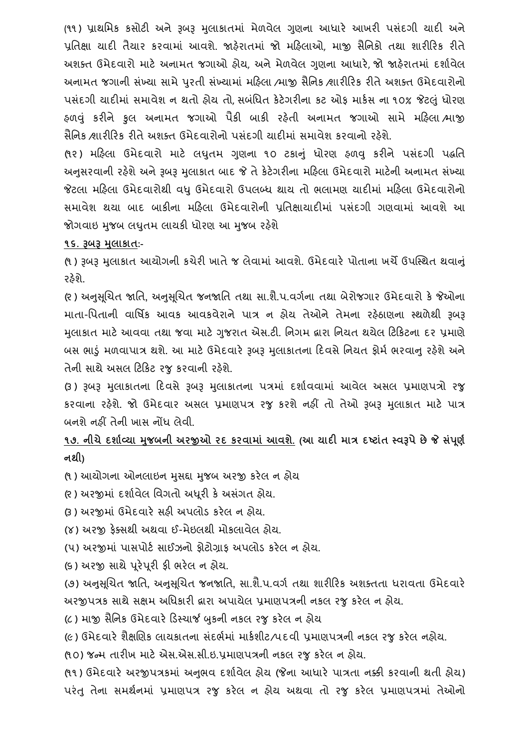(૧૧) પ્રાથમિક કસોટી અને રૂબરૂ મલાકાતમાં મેળવેલ ગણના આધારે આખરી પસંદગી યાદી અને પ્રવતક્ષા યાદી તૈયાર કરિામાં આિશે. જાહરે ાતમાં જો મરહલાઓ, માજી સૈવનકો તથા શારીરરક રીતે અશક્ત ઉમેદવારો માટે અનામત જગાઓ હોય, અને મેળવેલ ગણના આધારે જો જાહેરાતમાં દર્શાવેલ અનામત જગાની સંખ્યા સામે પુરતી સંખ્યામાં મહિલા /માજી સૈનિક /શારીરિક રીતે અશક્ત ઉમેદવારોનો પસંદગી યાદીમાં સમાવેશ ન થતો હોય તો, સબંધિત કેટેગરીના કટ ઓફ માર્કસ ના ૧૦% જેટલું ધોરણ હળવંુ કરીને કુલ અનામત જગાઓ પૈકી બાકી રહતે ી અનામત જગાઓ સામે મરહલા /માજી સૈનિક /શારીરિક રીતે અશક્ત ઉમેદવારોનો પસંદગી યાદીમાં સમાવેશ કરવાનો રહેશે.

(૧૨) મહિલા ઉમેદવારો માટે લઘતમ ગણના ૧૦ ટકાનું ધોરણ હળવુ કરીને પસંદગી પદ્ધતિ અનુસરવાની રફેશે અને રૂબરૂ મુલાકાત બાદ જે તે કેટેગરીના મફિલા ઉમેદવારો માટેની અનામત સંખ્યા જેટલા મહિલા ઉમેદવારોથી વધુ ઉમેદવારો ઉપલબ્ધ થાય તો ભલામણ યાદીમાં મહિલા ઉમેદવારોનો સમાવેશ થયા બાદ બાકીના મહિલા ઉમેદવારોની પ્રતિક્ષાયાદીમાં પસંદગી ગણવામાં આવશે આ જોગવાઇ મુજબ લઘુતમ લાયકી ધોરણ આ મુજબ રહેશે

#### **૧૬. રૂિરૂ મલુ ાકાત:-**

(૧) રૂબરૂ મુલાકાત આયોગની કચેરી ખાતે જ લેવામાં આવશે. ઉમેદવારે પોતાના ખર્ચે ઉપસ્થિત થવાનું રઠેશે.

(૨ ) અનસુ ચૂચત જાવત**,** અનસુ ચૂચત જનજાવત તથા સા.શૈ.પ.િગગના તથા બેરોજગાર ઉમેદિારો કેજેઓના માતા-વપતાની િાવર્િક આિક આિકિેરાને પાત્ર ન હોય તેઓને તેમના રહઠે ાણના સ્થળેથી રૂબરૂ મુલાકાત માટે આવવા તથા જવા માટે ગુજરાત એસ.ટી. નિગમ દ્વારા નિયત થયેલ ટિકિટના દર પ્રમાણે બસ ભાડું મળવાપાત્ર થશે. આ માટે ઉમેદવારે રૂબરૂ મુલાકાતના દિવસે નિયત ફોર્મ ભરવાનુ રહેશે અને તેની સાથે અસલ ટિકિટ રજુ કરવાની રહેશે.

(3) રૂબરૂ મુલાકાતના દિવસે રૂબરૂ મુલાકાતના પત્રમાં દર્શાવવામાં આવેલ અસલ પ્રમાણપત્રો રજુ કરિાના રહશે ે. જો ઉમેદિાર અસલ પ્રમાણપત્ર રજુ કરશેનહીં તો તેઓ રૂબરૂ મલુ ાકાત માટે પાત્ર બનશે નહીં તેની ખાસ નોંધ લેવી.

**૧૭. નીચેદશાગવ્યા મજુ િની અરજીઓ રદ કરવામાાં આવશે. (આ યાદી માત્ર દષ્ટાતાં સ્વરૂપેછેજે સપાં ણ ગ નથી)**

(૧) આયોગના ઓનલાઇન મુસદ્દા મુજબ અરજી કરેલ ન હોય

(૨ ) અરજીમાં દશાગિેલ વિગતો અધરૂી કેઅસગં ત હોય.

(૩) અરજીમાં ઉમેદવારે સહી અપલોડ કરેલ ન હોય.

(૪) અરજી ફેતસથી અથિા ઈ-મેઇલથી મોકલાિેલ હોય.

(૫) અરજીમાં પાસપોર્ટ સાઈઝનો ફોટોગ્રાફ અપલોડ કરેલ ન હોય.

(૬) અરજી સાથેપરૂેપરૂી ફી ભરેલ ન હોય.

(૭) અનસુ ચૂચત જાવત**,** અનસુ ચૂચત જનજાવત**,** સા.શૈ.પ.િગગ તથા શારીરરક અશતતતા િરાિતા ઉમેદિારે અરજીપત્રક સાથેસક્ષમ અવિકારી દ્વારા અપાયેલ પ્રમાણપત્રની નકલ રજુકરેલ ન હોય.

(૮) માજી સૈનિક ઉમેદવારે ડિસ્ચાર્જ બુકની નકલ રજુ કરેલ ન હોય

(૯) ઉમેદવારે શૈક્ષણિક લાયકાતના સંદર્ભમાં માર્કશીટ/પદવી પ્રમાણપત્રની નકલ રજ કરેલ નહોય.

(૧ ૦) જન્મ તારીખ માટેએસ.એસ.સી.ઇ.પ્રમાણપત્રની નકલ રજુકરેલ ન હોય.

(૧૧) ઉમેદવારે અરજીપત્રકમાં અનુભવ દર્શાવેલ હોય (જેના આધારે પાત્રતા નક્કી કરવાની થતી હોય) પરંતુ તેના સમથગનમાં પ્રમાણપત્ર રજુ કરેલ ન હોય અથિા તો રજુ કરેલ પ્રમાણપત્રમાં તેઓનો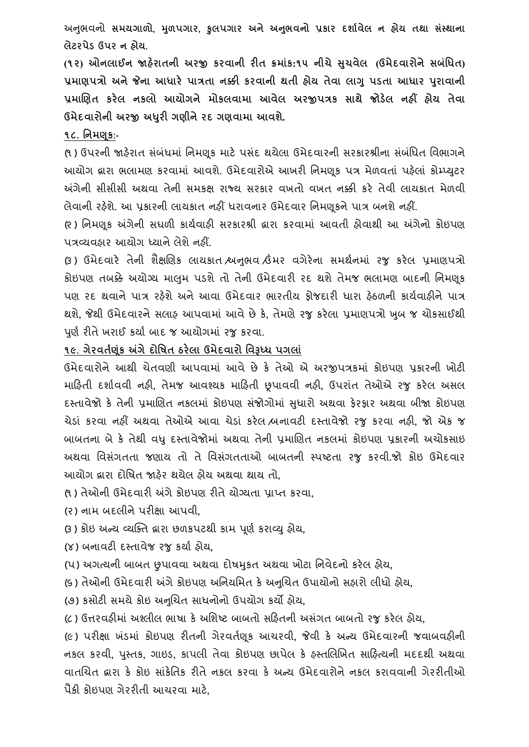અનભુ િનો **સમયગાળો, મળુ પગાર, કુલપગાર અને અનભુ વનો પ્રકાર દશાગવેલ ન હોય તથા સસ્ાં થાના લેટરપેડ ઉપર ન હોય.**

**(૧૨) ઓનલાઈન જાહરે ાતની અરજી કરવાની રીત ક્રમાાંક:૧૫ નીચેસચુ વેલ (ઉમેદવારોનેસિાંધધત) પ્રમાણપત્રો અનેજેના આધારે પાત્રતા નક્કી કરવાની થતી હોય તેવા લાગુપડતા આધાર પરુાવાની પ્રમાબણત કરેલ નકલો આયોગને મોકલવામા આવેલ અરજીપત્રક સાથે જોડલે નહીં હોય તેવા ઉમેદવારોની અરજી અધરુી ગણીનેરદ ગણવામા આવશે.**

#### **૧૮. ધનમણક :-**

(૧) ઉપરની જાહેરાત સંબંધમાં નિમણુક માટે પસંદ થયેલા ઉમેદવારની સરકારશ્રીના સંબંધિત વિભાગને આયોગ દ્વારા ભલામણ કરવામાં આવશે. ઉમેદવારોએ આખરી નિમણક પત્ર મેળવતાં પહેલાં કોમ્પ્યટર અંગેની સીસીસી અથવા તેની સમકક્ષ રાજ્ય સરકાર વખતો વખત નક્કી કરે તેવી લાયકાત મેળવી લેવાની રહેશે. આ પ્રકારની લાયકાત નહીં ધરાવનાર ઉમેદવાર નિમણૂકને પાત્ર બનશે નહીં.

(૨ ) વનમણકૂ અંગેની સઘળી કાયગિાહી સરકારશ્રી દ્વારા કરિામાં આિતી હોિાથી આ અંગેનો કોઇપણ પત્રવ્યિહાર આયોગ ધ્યાનેલેશેનહીં.

(૩) ઉમેદવારે તેની શૈક્ષણિક લાયકાત શ્વનભવ ઉંમર વગેરેના સમર્થનમાં રજુ કરેલ પ્રમાણપત્રો કોઇપણ તબક્કે અયોગ્ય માલમ પડશે તો તેની ઉમેદવારી રદ થશે તેમજ ભલામણ બાદની નિમણક પણ રદ થવાને પાત્ર રહેશે અને આવા ઉમેદવાર ભારતીય કોજદારી ધારા હેઠળની કાર્યવાહીને પાત્ર થશે**,** જેથી ઉમેદિારનેસલાહ આપિામાં આિેછેકે**,** તેમણેરજુકરેલા પ્રમાણપત્રો ખબુ જ ચોકસાઈથી પૂર્ણ રીતે ખરાઈ કર્યા બાદ જ આયોગમાં રજુ કરવા.

### **૧૯. ગેરવતગણકાં અંગેદોધર્ત ઠરેલા ઉમેદવારો ધવરૂધ્ધ પગલાાં**

ઉમેદિારોનેઆથી ચેતિણી આપિામાં આિેછે કે તેઓ એ અરજીપત્રકમાં કોઇપણ પ્રકારની ખોટી મારહતી દશાગિિી નહી**,** તેમજ આિશ્યક મારહતી છૂપાિિી નહી**,** ઉપરાતં તેઓએ રજુ કરેલ અસલ દસ્તાવેજો કે તેની પ્રમાણિત નકલમાં કોઇપણ સંજોગોમાં સુધારો અથવા ફેરફાર અથવા બીજા કોઇપણ ચેર્ાં કરિા નહીં અથિા તેઓએ આિા ચેર્ાં કરેલ /બનાિટી દસ્તાિેજો રજુ કરિા નહી**,** જો એક જ બાબતના બેકે તેથી િધુદસ્તાિેજોમાં અથિા તેની પ્રમાચણત નકલમાં કોઇપણ પ્રકારની અચોકસાઇ અથવા વિસંગતતા જણાય તો તે વિસંગતતાઓ બાબતની સ્પષ્ટતા રજુ કરવી.જો કોઇ ઉમેદવાર આયોગ દ્વારા દોવર્ત જાહરે થયેલ હોય અથિા થાય તો**,**

- (૧ ) તેઓની ઉમેદિારી અંગેકોઇપણ રીતેયોગ્યતા પ્રા્ત કરિા**,**
- (ર) નામ બદલીનેપરીક્ષા આપિી**,**
- (૩ ) કોઇ અન્ય વ્યક્તત દ્વારા છળકપટથી કામ પણૂ ગ કરાવ્યુહોય**,**
- (૪) બનાિટી દસ્તાિેજ રજુકયાગ હોય**,**
- (પ) અગત્યની બાબત છુપાિિા અથિા દોર્મકુત અથિા ખોટા વનિેદનો કરેલ હોય**,**
- (૬ ) તેઓની ઉમેદિારી અંગેકોઇપણ અવનયવમત કેઅનચુચત ઉપાયોનો સહારો લીિો હોય**,**

(૭) કસોટી સમયેકોઇ અનચુચત સાિનોનો ઉપયોગ કયો હોય**,**

(૮ ) ઉત્તરિહીમાં અશ્લીલ ભાર્ા કેઅવશષ્ટ બાબતો સરહતની અસંગત બાબતો રજુકરેલ હોય**,**

(૯) પરીક્ષા ખંર્માં કોઇપણ રીતની ગેરિતગણકૂ આચરિી**,** જેિી કે અન્ય ઉમેદિારની જિાબિહીની નકલ કરવી, પુસ્તક, ગાઇડ, કાપલી તેવા કોઇપણ છાપેલ કે ફસ્તલિખિત સાફિત્યની મદદથી અથવા વાતચિત દ્વારા કે કોઇ સાંકેતિક રીતે નકલ કરવા કે અન્ય ઉમેદવારોને નકલ કરાવવાની ગેરરીતીઓ પૈકી કોઇપણ ગેરરીતી આચરિા માટે**,**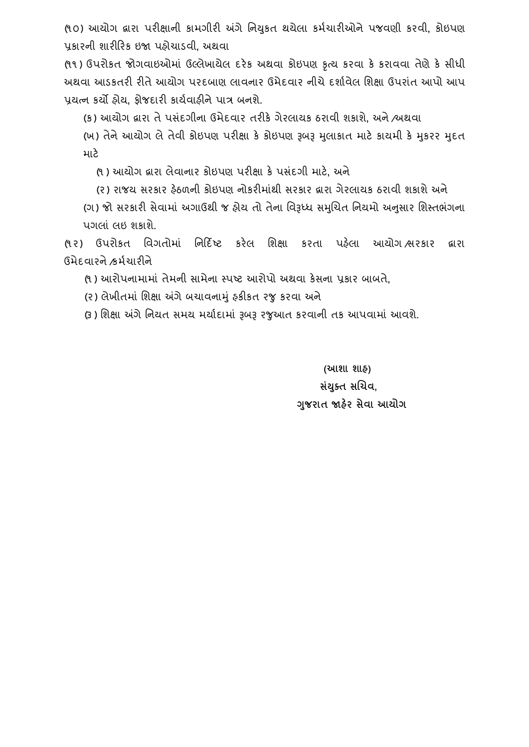(૧ ૦) આયોગ દ્વારા પરીક્ષાની કામગીરી અંગેવનયકુત થયેલા કમગચારીઓનેપજિણી કરિી**,** કોઇપણ પ્રકારની શારીરરક ઇજા પહોચાર્િી**,** અથિા

(૧૧) ઉપરોકત જોગવાઇઓમાં ઉલ્લેખાયેલ દરેક અથવા કોઇપણ કૃત્ય કરવા કે કરાવવા તેણે કે સીધી અથવા આડકતરી રીતે આયોગ પરદબાણ લાવનાર ઉમેદવાર નીચે દર્શાવેલ શિક્ષા ઉપરાંત આપો આપ પ્રયત્ન કયો હોય**,** ફોજદારી કાયગિાહીનેપાત્ર બનશે.

(ક) આયોગ દ્વારા તેપસદં ગીના ઉમેદિાર તરીકેગેરલાયક ઠરાિી શકાશે**,** અને/અથિા

(ખ) તેને આયોગ લે તેવી કોઇપણ પરીક્ષા કે કોઇપણ રૂબરૂ મુલાકાત માટે કાયમી કે મુકરર મુદત માટે

(૧ ) આયોગ દ્વારા લેિાનાર કોઇપણ પરીક્ષા કેપસદં ગી માટે**,** અને

(૨) રાજય સરકાર ફેઠળની કોઇપણ નોકરીમાંથી સરકાર દ્વારા ગેરલાયક ઠરાવી શકાશે અને

(ગ) જો સરકારી સેવામાં અગાઉથી જ હોય તો તેના વિરૂધ્ધ સમુચિત નિયમો અનુસાર શિસ્તભંગના પગલાં લઇ શકાશે.

(૧ર) ઉપરોકત વિગતોમાં વનરદિષ્ટ કરેલ વશક્ષા કરતા પહલે ા આયોગ /સરકાર દ્વારા ઉમેદિારને/કમગચારીને

(૧ ) આરોપનામામાં તેમની સામેના સ્પષ્ટ આરોપો અથિા કેસના પ્રકાર બાબતે**,**

(ર) લેખીતમાં વશક્ષા અંગેબચાિનામંુહકીકત રજુકરિા અને

(૩ ) શિક્ષા અંગે નિયત સમય મર્યાદામાં રૂબરૂ રજુઆત કરવાની તક આપવામાં આવશે.

**(આશા શાહ) સયાં ક્ુત સબચવ, ગજુ રાત જાહરે સેવા આયોગ**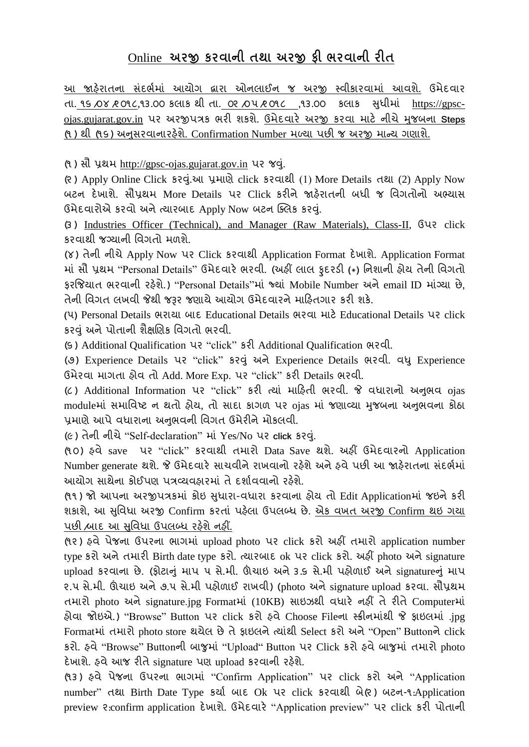# Online **અરજી કરવાની તથા અરજી ફી ભરવાની રીત**

આ જાહેરાતના સંદર્ભમાં આયોગ દ્વારા ઓનલાઈન જ અરજી સ્વીકારવામાં આવશે. ઉમેદવાર તા. ૧૬ /૦૪ /૨ ૦૧૮**,**૧૩.૦૦ કલાક થી તા. ૦૨ /૦૫/૨ ૦૧૮ **,**૧૩.૦૦ કલાક સિુ ીમાં [https://gpsc](https://gpsc-ojas.gujarat.gov.in/)[ojas.gujarat.gov.in](https://gpsc-ojas.gujarat.gov.in/) પર અરજીપત્રક ભરી શકશે. ઉમેદિારે અરજી કરિા માટે નીચેમજુ બના **Steps** (૧ ) થી (૧૬) અનસુ રિાનારહશે ે. Confirmation Number મળ્યા પછી જ અરજી માન્ય ગણાશે.

(૧ ) સૌ પ્રથમ http://gpsc-ojas.gujarat.gov.in પર જવ.ંુ

(૨ ) Apply Online Click કરવ.ંુઆ પ્રમાણેclick કરિાથી (1) More Details તથા (2) Apply Now બટન દેખાશે. સૌપ્રથમ More Details પર Click કરીને જાહરે ાતની બિી જ વિગતોનો અભ્યાસ ઉમેદિારોએ કરિો અનેત્યારબાદ Apply Now બટન ક્તલક કરવ.ંુ

(૩ ) Industries Officer (Technical)**,** and Manager (Raw Materials), Class-II, ઉપર click કરિાથી જગ્યાની વિગતો મળશે**.**

(૪) તેની નીચેApply Now પર Click કરિાથી Application Format દેખાશે. Application Format માં સૌ પ્રથમ "Personal Details" ઉમેદિારે ભરિી. (અહીં લાલ ફુદરર્ી **(**\***)** વનશાની હોય તેની વિગતો ફરજિયાત ભરવાની રફેશે.) "Personal Details"માં જ્યાં Mobile Number અને email ID માંગ્યા છે, તેની વિગત લખવી જેથી જરૂર જણાયે આયોગ ઉમેદવારને માહિતગાર કરી શકે.

**(**૫**)** Personal Details ભરાયા બાદ Educational Details ભરિા માટેEducational Details પર click કરવંુઅનેપોતાની શૈક્ષચણક વિગતો ભરિી.

(૬ ) Additional Qualification પર "click" કરી Additional Qualification ભરિી.

(૭) Experience Details પર "click" કરવંુઅનેExperience Details ભરિી. િધુExperience ઉમેરિા માગતા હોિ તો Add. More Exp. પર "click" કરી Details ભરિી.

(૮ ) Additional Information પર "click" કરી ત્યાં મારહતી ભરિી. જે િિારાનો અનભુ િ ojas moduleમાં સમાવિષ્ટ ન થતો હોય**,** તો સાદા કાગળ પર ojas માં જણાવ્યા મજુ બના અનભુ િના કોઠા પ્રમાણે આપે વધારાના અનુભવની વિગત ઉમેરીને મોકલવી.

(૯) તેની નીચે"Self-declaration" માં Yes/No પર **click** કરવ.ંુ

(૧ ૦) હિે saveપર "click" કરિાથી તમારો Data Save થશે. અહીં ઉમેદિારનો Application Number generate થશે. જે ઉમેદવારે સાચવીને રાખવાનો રહેશે અને હવે પછી આ જાહેરાતના સંદર્ભમાં આયોગ સાથેના કોઈપણ પત્રવ્યવહારમાં તે દર્શાવવાનો રહેશે.

(૧૧) જો આપના અરજીપત્રકમાં કોઇ સુધારા-વધારા કરવાના હોય તો Edit Applicationમાં જઇને કરી શકાશે**,** આ સવુિિા અરજી Confirm કરતાં પહલે ા ઉપલબ્િ છે. એક િખત અરજી Confirm થઇ ગયા પછી ,બાદ આ સુવિધા ઉપલબ્ધ રહેશે નહીં.

(૧૨ ) હિેપેજના ઉપરના ભાગમાં upload photo પર click કરો અહીં તમારો application number type કરો અને તમારી Birth date type કરો. ત્યારબાદ ok પર click કરો. અહીં photo અને signature upload કરવાના છે. (ફોટાનું માપ ૫ સે.મી. ઊંચાઇ અને ૩.૬ સે.મી પહોળાઈ અને signatureનું માપ ૨.૫ સે.મી. ઊંચાઇ અને૭.૫ સે.મી પહોળાઈ રાખિી) (photo અનેsignature upload કરિા**.** સૌપ્રથમ તમારો photo અને signature.jpg Formatમાં (10KB) સાઇઝથી વધારે નહીં તે રીતે Computerમાં હોિા જોઇએ.) "Browse" Button પર click કરો હિેChoose Fileના સ્ક્રીનમાંથી જે ફાઇલમાં .jpg Formatમાં તમારો photo store થયેલ છેતેફાઇલનેત્યાંથી Select કરો અને"Open" Buttonનેclick કરો. હિે"Browse" Buttonની બાજુમાં "Upload" Button પર Click કરો હિેબાજુમાં તમારો photo દેખાશે. હવે આજ રીતે signature પણ upload કરવાની રહેશે.

(૧૩ ) હિે પેજના ઉપરના ભાગમાં "Confirm Application" પર click કરો અને "Application number" તથા Birth Date Type કર્યા બાદ Ok પર click કરવાથી બે(૨) બટન-૧:Application preview ૨:confirm application દેખાશે. ઉમેદિારે "Application preview" પર click કરી પોતાની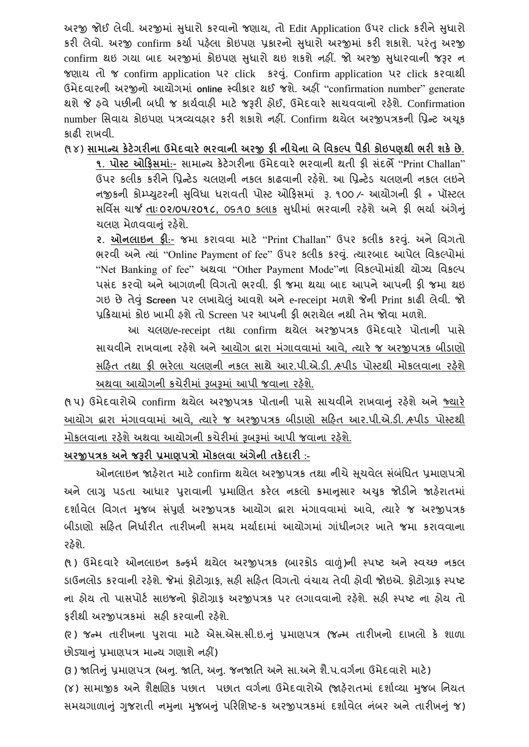અરજી જોઈ લેવી. અરજીમાં સુધારો કરવાનો જણાય, તો Edit Application ઉપર click કરીને સુધારો કરી લેવો. અરજી confirm કર્યા પહેલા કોઇપણ પ્રકારનો સુધારો અરજીમાં કરી શકાશે. પરંતુ અરજી confirm થઇ ગયા બાદ અરજીમાં કોઇપણ સુધારો થઇ શકશે નહીં. જો અરજી સુધારવાની જરૂર ન જણાય તો જ confirm application પર clickકરવ.ંુ Confirm application પર click કરિાથી ઉમેદિારની અરજીનો આયોગમાં **online** સ્િીકાર થઈ જશે. અહીં "confirmation number" generate થશેજે હિેપછીની બિી જ કાયગિાહી માટે જરૂરી હોઈ**,** ઉમેદિારે સાચિિાનો રહશે ે. Confirmation number સિવાય કોઇપણ પત્રવ્યવહાર કરી શકાશે નહીં. Confirm થયેલ અરજીપત્રકની પ્રિન્ટ અચૂક કાઢી રાખિી.

(૧ ૪) **સામાન્ય કેટેગરીના ઉમેદવારે ભરવાની અરજી ફી નીચેના િેધવકલ્પ પૈકી કોઇપણથી ભરી શકેછે.**

**૧. પોસ્ટ ઓહફસમાાં**:- સામાન્ય કેટેગરીના ઉમેદિારે ભરિાની થતી ફી સંદભે"Print Challan" ઉપર કલીક કરીને પ્રિન્ટેડ ચલણની નકલ કાઢવાની રહેશે. આ પ્રિન્ટેડ ચલણની નકલ લઇને નજીકની કોમ્્યટુરની સવુિિા િરાિતી પોસ્ટ ઓરફસમાં રૂ. ૧૦૦ /- આયોગની ફી + પૉસ્ટલ સવિિસ ચાર્જ **તાાઃ ૦૨/૦૫/૨૦૧૮,** ૦૬:૧0 કલાક સિુ ીમાં ભરિાની રહશે ેઅને ફી ભયાગ અંગેનંુ ચલણ મેળવવાનું રહેશે.

**૨. ઓનલાઇન ફી**:- જમા કરાિિા માટે "Print Challan" ઉપર કલીક કરવ.ંુ અને વિગતો ભરવી અને ત્યાં "Online Payment of fee" ઉપર કલીક કરવું. ત્યારબાદ આપેલ વિકલ્પોમાં "Net Banking of fee" અથિા "Other Payment Mode"ના વિકલ્પોમાંથી યોગ્ય વિકલ્પ પસંદ કરવો અને આગળની વિગતો ભરવી. ફી જમા થયા બાદ આપને આપની ફી જમા થઇ ગઇ છેતેવંુ**Screen** પર લખાયેલંુઆિશેઅનેe-receipt મળશેજેની Print કાઢી લેિી. જો પ્રક્રિયામાં કોઇ ખામી હશે તો Screen પર આપની કી ભરાયેલ નથી તેમ જોવા મળશે.

આ ચલણ**/**e-receipt તથા confirm થયેલ અરજીપત્રક ઉમેદિારે પોતાની પાસે સાચિીનેરાખિાના રહશે ેઅનેઆયોગ દ્વારા મગં ાિિામાં આિે**,** ત્યારે જ અરજીપત્રક બીર્ાણો સહિત તથા ફી ભરેલા ચલણની નકલ સાથે આર.પી.એ.ડી. હ્પીડ પોસ્ટથી મોકલવાના રહેશે અથવા આયોગની કચેરીમાં રૂબરૂમાં આપી જવાના રહેશે.

(૧૫) ઉમેદવારોએ confirm થયેલ અરજીપત્રક પોતાની પાસે સાચવીને રાખવાનું રહેશે અને જ્યારે આયોગ દ્વારા મગં ાિિામાં આિે**,** ત્યારે જ અરજીપત્રક બીર્ાણો સરહત આર.પી.એ.ર્ી. /સ્પીર્ પોસ્ટથી મોકલવાના રહેશે અથવા આયોગની કચેરીમાં રૂબરૂમાં આપી જવાના રહેશે.

**અરજીપત્રક અનેજરૂરી પ્રમાણપત્રો મોકલવા અંગેની તકેદારી :-**

ઓનલાઇન જાહેરાત માટે confirm થયેલ અરજીપત્રક તથા નીચે સચવેલ સંબંધિત પ્રમાણપત્રો અને લાગુ પડતા આધાર પુરાવાની પ્રમાણિત કરેલ નકલો ક્રમાનસાર અચુક જોડીને જાહેરાતમાં દશાગિેલ વિગત મજુ બ સપં ણુ ગ અરજીપત્રક આયોગ દ્વારા મગં ાિિામાં આિે**,** ત્યારે જ અરજીપત્રક બીડાણો સહિત નિર્ધારીત તારીખની સમય મર્યાદામાં આયોગમાં ગાંધીનગર ખાતે જમા કરાવવાના રઠેશે.

(૧) ઉમેદવારે ઓનલાઇન કન્ફર્મ થયેલ અરજીપત્રક (બારકોડ વાળું)ની સ્પષ્ટ અને સ્વચ્છ નકલ ડાઉનલોડ કરવાની રફેશે. જેમાં ફોટોગ્રાફ, સફી સફિત વિગતો વંચાય તેવી ફોવી જોઇએ. ફોટોગ્રાફ સ્પષ્ટ ના હોય તો પાસપોર્ટ સાઇજનો કોટોગ્રાક અરજીપત્રક પર લગાવવાનો રહેશે. સહી સ્પષ્ટ ના હોય તો કરીથી અરજીપત્રકમાં સહી કરવાની રહેશે.

(૨ ) જન્મ તારીખના પરુાિા માટે એસ.એસ.સી.ઇ.નંુ પ્રમાણપત્ર (જન્મ તારીખનો દાખલો કે શાળા છોર્યાનંુપ્રમાણપત્ર માન્ય ગણાશેનહીં)

(૩ ) જાવતનંુપ્રમાણપત્ર (અન.ુ જાવત**,** અન.ુ જનજાવત અનેસા.અનેશૈ.પ.િગગના ઉમેદિારો માટે) (૪) સામાજીક અને શૈક્ષણિક પછાત પછાત વર્ગના ઉમેદવારોએ (જાહેરાતમાં દર્શાવ્યા મજબ નિયત સમયગાળાનું ગુજરાતી નમુના મુજબનું પરિશિષ્ટ-ક અરજીપત્રકમાં દર્શાવેલ નંબર અને તારીખનું જ)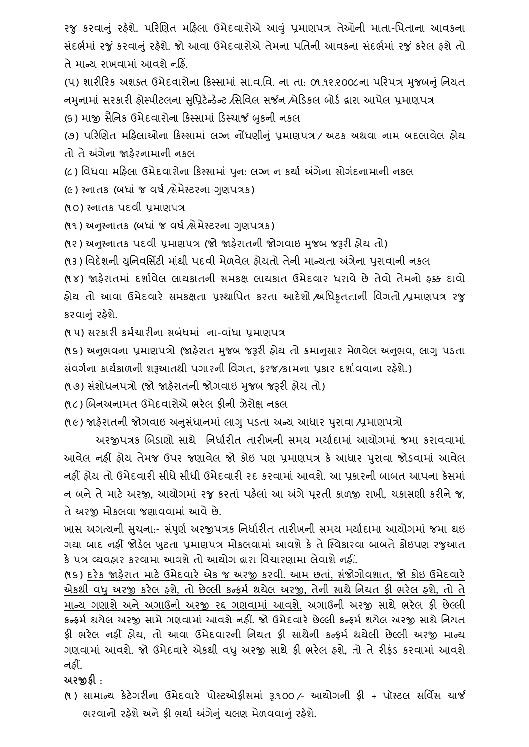રજુ કરવાનું રહેશે. પરિણિત મહિલા ઉમેદવારોએ આવું પ્રમાણપત્ર તેઓની માતા-પિતાના આવકના સંદર્ભમાં રજું કરવાનું રહેશે. જો આવા ઉમેદવારોએ તેમના પતિની આવકના સંદર્ભમાં રજું કરેલ હશે તો તે માન્ય રાખવામાં આવશે નહિં.

(૫) શારીરિક અશક્ત ઉમેદવારોના કિસ્સામાં સા.વ.વિ. ના તા: ૦૧.૧૨.૨૦૦૮ના પરિપત્ર મુજબનું નિયત નમુનામાં સરકારી હોસ્પીટલના સુપ્રિટેન્ડેન્ટ /સિવિલ સર્જન /મેડિકલ બોર્ડ દ્વારા આપેલ પ્રમાણપત્ર (૬) માજી સૈનિક ઉમેદવારોના કિસ્સામાં ડિસ્ચાર્જ બુકની નકલ

(૭) પરિણિત મહિલાઓના કિસ્સામાં લગ્ન નોંધણીનું પ્રમાણપત્ર / અટક અથવા નામ બદલાવેલ હોય તો તે અંગેના જાહેરનામાની નકલ

(૮) વિિિા મરહલા ઉમેદિારોના રકસ્સામાં પનુ **:** લગ્ન ન કયાગ અંગેના સોગદં નામાની નકલ

(૯) સ્નાતક (બધાં જ વર્ષ ત્રેમેસ્ટરના ગણપત્રક)

(૧૦) સ્નાતક પદિી પ્રમાણપત્ર

(૧૧) અનુસ્નાતક (બધાં જ વર્ષ સેમેસ્ટરના ગુણપત્રક)

(૧૨) અનુસ્નાતક પદવી પ્રમાણપત્ર (જો જાહેરાતની જોગવાઇ મુજબ જરૂરી હોય તો)

(૧૩) વિદેશની યુનિવર્સિટી માંથી પદવી મેળવેલ હોયતો તેની માન્યતા અંગેના પુરાવાની નકલ

(૧૪) જાહેરાતમાં દર્શાવેલ લાયકાતની સમકક્ષ લાયકાત ઉમેદવાર ધરાવે છે તેવો તેમનો હક્ક દાવો હોય તો આિા ઉમેદિારે સમકક્ષતા પ્રસ્થાવપત કરતા આદેશો /અવિકૃતતાની વિગતો /પ્રમાણપત્ર રજુ કરવાનું રહેશે.

(૧ ૫) સરકારી કમગચારીના સબંિમાં ના-િાંિા પ્રમાણપત્ર

(૧૬) અનુભવના પ્રમાણપત્રો (જાહેરાત મુજબ જરૂરી હોય તો ક્રમાનુસાર મેળવેલ અનુભવ, લાગુ પડતા સંિગગના કાયગકાળની શરૂઆતથી પગારની વિગત**,** ફરજ/કામના પ્રકાર દશાગિિાના રહશે ે.)

(૧૭) સંશોધનપત્રો (જો જાહેરાતની જોગવાઇ મજબ જરૂરી હોય તો)

(૧૮) ચબનઅનામત ઉમેદિારોએ ભરેલ ફીની ઝેરોક્ષ નકલ

(૧૯) જાહેરાતની જોગવાઇ અનુસંધાનમાં લાગુ પડતા અન્ય આધાર પુરાવા ⁄પ્રમાણપત્રો

અરજીપત્રક ચબર્ાણો સાથે વનિાગરીત તારીખની સમય મયાગદામાં આયોગમાં જમા કરાિિામાં આવેલ નહીં હોય તેમજ ઉપર જણાવેલ જો કોઇ પણ પ્રમાણપત્ર કે આધાર પુરાવા જોડવામાં આવેલ નહીં હોય તો ઉમેદવારી સીધે સીધી ઉમેદવારી રદ કરવામાં આવશે. આ પકારની બાબત આપના કેસમાં ન બનેતેમાટે અરજી**,** આયોગમાં રજુકરતાં પહલે ાં આ અંગેપરૂતી કાળજી રાખી**,** ચકાસણી કરીનેજ**,** તે અરજી મોકલવા જણાવવામાં આવે છે.

ખાસ અગત્યની સુચના:- સંપૂર્ણ અરજીપત્રક નિર્ધારીત તારીખની સમય મર્યાદામા આયોગમાં જમા થઇ ગયા બાદ નહીં જોડેલ ખટતા પ્રમાણપત્ર મોકલવામાં આવશે કે તે સ્વિકારવા બાબતે કોઇપણ રજુઆત કે પત્ર વ્યવહાર કરવામા આવશે તો આયોગ દ્વારા વિચારણામા લેવાશે નહીં.

(૧૬) દરેક જાહરે ાત માટેઉમેદિારે એક જ અરજી કરિી. આમ છતા**,** ં સંજોગોિશાત**,** જો કોઇ ઉમેદિારે એકથી િધુઅરજી કરેલ હશે**,** તો છેલ્લી કન્ફમગ થયેલ અરજી**,** તેની સાથેવનયત ફી ભરેલ હશે**,** તો તે માન્ય ગણાશે અને અગાઉની અરજી રદ્દ ગણવામાં આવશે. અગાઉની અરજી સાથે ભરેલ કી છેલ્લી કન્ફર્મ થયેલ અરજી સામે ગણવામાં આવશે નહીં. જો ઉમેદવારે છેલ્લી કન્ફર્મ થયેલ અરજી સાથે નિયત ફી ભરેલ નહીં હોય**,** તો આિા ઉમેદિારની વનયત ફી સાથેની કન્ફમગ થયેલી છેલ્લી અરજી માન્ય ગણિામાં આિશે. જો ઉમેદિારે એકથી િધુઅરજી સાથેફી ભરેલ હશે**,** તો તેરીફંર્ કરિામાં આિશે નહીં.

**અરજીફી** :

(૧ ) સામાન્ય કેટેગરીના ઉમેદિારે પોસ્ટઓફીસમાં રૂ.૧૦૦ /- આયોગની ફી + પૉસ્ટલ સવિિસ ચાર્જ ભરવાનો રહેશે અને કી ભર્યા અંગેનં ચલણ મેળવવાનં રહેશે.